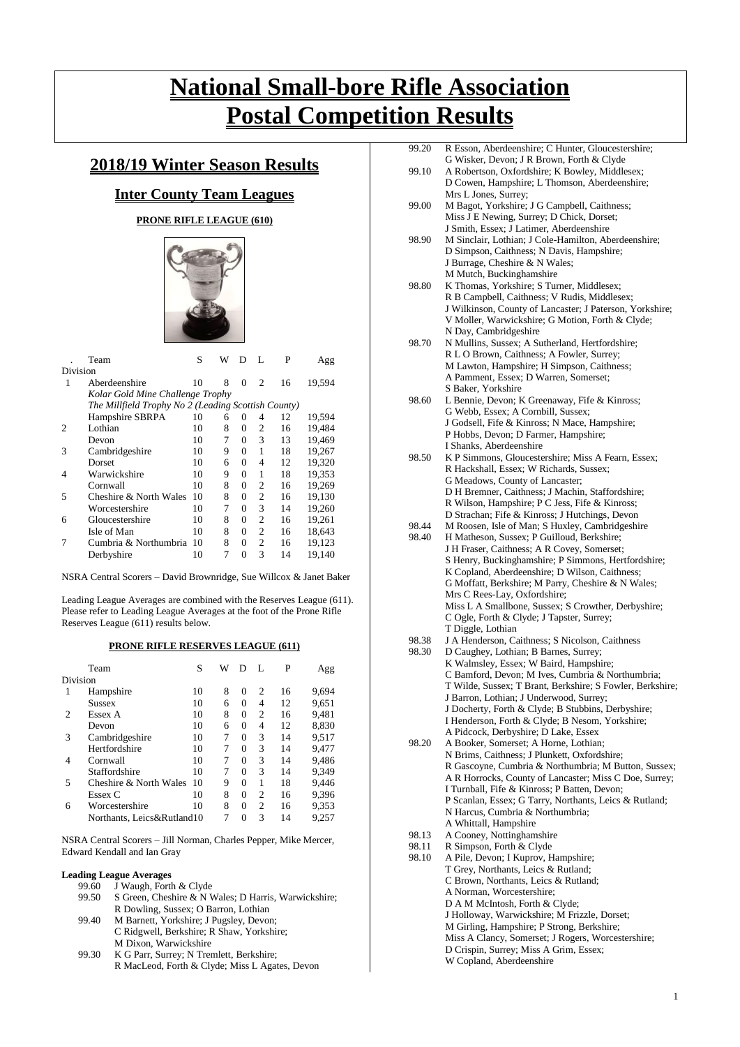# **National Small-bore Rifle Association Postal Competition Results**

## **2018/19 Winter Season Results**

## **Inter County Team Leagues**

## **PRONE RIFLE LEAGUE (610)**



|                             | Team                                                | S   | W | D        | L              | P  | Agg    |
|-----------------------------|-----------------------------------------------------|-----|---|----------|----------------|----|--------|
| Division                    |                                                     |     |   |          |                |    |        |
| 1                           | Aberdeenshire                                       | 10  | 8 | $\Omega$ | $\mathfrak{D}$ | 16 | 19.594 |
|                             | Kolar Gold Mine Challenge Trophy                    |     |   |          |                |    |        |
|                             | The Millfield Trophy No 2 (Leading Scottish County) |     |   |          |                |    |        |
|                             | Hampshire SBRPA                                     | 10  | 6 | $\Omega$ | 4              | 12 | 19,594 |
| $\mathcal{D}_{\mathcal{L}}$ | Lothian                                             | 10  | 8 | $\Omega$ | $\overline{c}$ | 16 | 19,484 |
|                             | Devon                                               | 10  | 7 | $\Omega$ | 3              | 13 | 19,469 |
| 3                           | Cambridgeshire                                      | 10  | 9 | $\Omega$ | 1              | 18 | 19,267 |
|                             | Dorset                                              | 10  | 6 | $\Omega$ | 4              | 12 | 19,320 |
| 4                           | Warwickshire                                        | 10  | 9 | $\Omega$ | 1              | 18 | 19,353 |
|                             | Cornwall                                            | 10  | 8 | $\Omega$ | 2              | 16 | 19.269 |
| 5                           | Cheshire & North Wales                              | 10  | 8 | $\Omega$ | $\overline{c}$ | 16 | 19.130 |
|                             | Worcestershire                                      | 10  | 7 | $\Omega$ | 3              | 14 | 19,260 |
| 6                           | Gloucestershire                                     | 10  | 8 | $\Omega$ | $\overline{c}$ | 16 | 19,261 |
|                             | Isle of Man                                         | 10  | 8 | $\Omega$ | $\overline{c}$ | 16 | 18,643 |
|                             | Cumbria & Northumbria                               | -10 | 8 | $\Omega$ | $\overline{c}$ | 16 | 19,123 |
|                             | Derbyshire                                          | 10  | 7 | 0        | 3              | 14 | 19,140 |

NSRA Central Scorers – David Brownridge, Sue Willcox & Janet Baker

Leading League Averages are combined with the Reserves League (611). Please refer to Leading League Averages at the foot of the Prone Rifle Reserves League (611) results below.

### **PRONE RIFLE RESERVES LEAGUE (611)**

|          | Team                       | S  | W | D        | L              | P  | Agg   |
|----------|----------------------------|----|---|----------|----------------|----|-------|
| Division |                            |    |   |          |                |    |       |
| 1        | Hampshire                  | 10 | 8 | $\theta$ | $\overline{c}$ | 16 | 9.694 |
|          | <b>Sussex</b>              | 10 | 6 | 0        | 4              | 12 | 9.651 |
| 2        | Essex A                    | 10 | 8 | 0        | $\overline{c}$ | 16 | 9.481 |
|          | Devon                      | 10 | 6 | 0        | 4              | 12 | 8,830 |
| 3        | Cambridgeshire             | 10 | 7 | 0        | 3              | 14 | 9,517 |
|          | Hertfordshire              | 10 | 7 | $\Omega$ | 3              | 14 | 9.477 |
| 4        | Cornwall                   | 10 | 7 | 0        | 3              | 14 | 9.486 |
|          | Staffordshire              | 10 | 7 | $\Omega$ | 3              | 14 | 9,349 |
| 5        | Cheshire & North Wales     | 10 | 9 | $\Omega$ | 1              | 18 | 9,446 |
|          | Essex C                    | 10 | 8 | 0        | $\overline{c}$ | 16 | 9.396 |
| 6        | Worcestershire             | 10 | 8 | $\theta$ | $\overline{c}$ | 16 | 9,353 |
|          | Northants, Leics&Rutland10 |    | 7 | 0        | 3              | 14 | 9,257 |

NSRA Central Scorers – Jill Norman, Charles Pepper, Mike Mercer, Edward Kendall and Ian Gray

## **Leading League Averages**<br>99.60 J Waugh, Fortl

- 99.60 J Waugh, Forth & Clyde<br>99.50 S Green. Cheshire & N V S Green, Cheshire & N Wales; D Harris, Warwickshire; R Dowling, Sussex; O Barron, Lothian
- 99.40 M Barnett, Yorkshire; J Pugsley, Devon; C Ridgwell, Berkshire; R Shaw, Yorkshire; M Dixon, Warwickshire
- 99.30 K G Parr, Surrey; N Tremlett, Berkshire; R MacLeod, Forth & Clyde; Miss L Agates, Devon

| 99.20          | R Esson, Aberdeenshire; C Hunter, Gloucestershire;                                                       |
|----------------|----------------------------------------------------------------------------------------------------------|
|                | G Wisker, Devon; J R Brown, Forth & Clyde                                                                |
| 99.10          | A Robertson, Oxfordshire; K Bowley, Middlesex;                                                           |
|                | D Cowen, Hampshire; L Thomson, Aberdeenshire;<br>Mrs L Jones, Surrey;                                    |
| 99.00          | M Bagot, Yorkshire; J G Campbell, Caithness;                                                             |
|                | Miss J E Newing, Surrey; D Chick, Dorset;                                                                |
|                | J Smith, Essex; J Latimer, Aberdeenshire                                                                 |
| 98.90          | M Sinclair, Lothian; J Cole-Hamilton, Aberdeenshire;                                                     |
|                | D Simpson, Caithness; N Davis, Hampshire;                                                                |
|                | J Burrage, Cheshire & N Wales;                                                                           |
|                | M Mutch, Buckinghamshire                                                                                 |
| 98.80          | K Thomas, Yorkshire; S Turner, Middlesex;                                                                |
|                | R B Campbell, Caithness; V Rudis, Middlesex;<br>J Wilkinson, County of Lancaster; J Paterson, Yorkshire; |
|                | V Moller, Warwickshire; G Motion, Forth & Clyde;                                                         |
|                | N Day, Cambridgeshire                                                                                    |
| 98.70          | N Mullins, Sussex; A Sutherland, Hertfordshire;                                                          |
|                | R L O Brown, Caithness; A Fowler, Surrey;                                                                |
|                | M Lawton, Hampshire; H Simpson, Caithness;                                                               |
|                | A Pamment, Essex; D Warren, Somerset;                                                                    |
|                | S Baker, Yorkshire                                                                                       |
| 98.60          | L Bennie, Devon; K Greenaway, Fife & Kinross;                                                            |
|                | G Webb, Essex; A Cornbill, Sussex;<br>J Godsell, Fife & Kinross; N Mace, Hampshire;                      |
|                | P Hobbs, Devon; D Farmer, Hampshire;                                                                     |
|                | I Shanks, Aberdeenshire                                                                                  |
| 98.50          | K P Simmons, Gloucestershire; Miss A Fearn, Essex;                                                       |
|                | R Hackshall, Essex; W Richards, Sussex;                                                                  |
|                | G Meadows, County of Lancaster;                                                                          |
|                | D H Bremner, Caithness; J Machin, Staffordshire;                                                         |
|                | R Wilson, Hampshire; P C Jess, Fife & Kinross;                                                           |
|                | D Strachan; Fife & Kinross; J Hutchings, Devon                                                           |
| 98.44<br>98.40 | M Roosen, Isle of Man; S Huxley, Cambridgeshire                                                          |
|                | H Matheson, Sussex; P Guilloud, Berkshire;<br>J H Fraser, Caithness; A R Covey, Somerset;                |
|                | S Henry, Buckinghamshire; P Simmons, Hertfordshire;                                                      |
|                | K Copland, Aberdeenshire; D Wilson, Caithness;                                                           |
|                | G Moffatt, Berkshire; M Parry, Cheshire & N Wales;                                                       |
|                | Mrs C Rees-Lay, Oxfordshire;                                                                             |
|                | Miss L A Smallbone, Sussex; S Crowther, Derbyshire;                                                      |
|                | C Ogle, Forth & Clyde; J Tapster, Surrey;                                                                |
| 98.38          | T Diggle, Lothian                                                                                        |
| 98.30          | J A Henderson, Caithness; S Nicolson, Caithness<br>D Caughey, Lothian; B Barnes, Surrey;                 |
|                | K Walmsley, Essex; W Baird, Hampshire;                                                                   |
|                | C Bamford, Devon; M Ives, Cumbria & Northumbria;                                                         |
|                | T Wilde, Sussex; T Brant, Berkshire; S Fowler, Berkshire;                                                |
|                | J Barron, Lothian; J Underwood, Surrey;                                                                  |
|                | J Docherty, Forth & Clyde; B Stubbins, Derbyshire;                                                       |
|                | I Henderson, Forth & Clyde; B Nesom, Yorkshire;                                                          |
| 98.20          | A Pidcock, Derbyshire; D Lake, Essex<br>A Booker, Somerset; A Horne, Lothian;                            |
|                | N Brims, Caithness; J Plunkett, Oxfordshire;                                                             |
|                | R Gascoyne, Cumbria & Northumbria; M Button, Sussex;                                                     |
|                | A R Horrocks, County of Lancaster; Miss C Doe, Surrey;                                                   |
|                | I Turnball, Fife & Kinross; P Batten, Devon;                                                             |
|                | P Scanlan, Essex; G Tarry, Northants, Leics & Rutland;                                                   |
|                | N Harcus, Cumbria & Northumbria;                                                                         |
|                | A Whittall, Hampshire                                                                                    |
| 98.13<br>98.11 | A Cooney, Nottinghamshire                                                                                |
| 98.10          | R Simpson, Forth & Clyde<br>A Pile, Devon; I Kuprov, Hampshire;                                          |
|                | T Grey, Northants, Leics & Rutland;                                                                      |
|                | C Brown, Northants, Leics & Rutland;                                                                     |
|                | A Norman, Worcestershire;                                                                                |
|                | D A M McIntosh, Forth & Clyde;                                                                           |
|                | J Holloway, Warwickshire; M Frizzle, Dorset;                                                             |
|                | M Girling, Hampshire; P Strong, Berkshire;                                                               |
|                | Miss A Clancy, Somerset; J Rogers, Worcestershire;                                                       |
|                | D Crispin, Surrey; Miss A Grim, Essex;<br>W Copland, Aberdeenshire                                       |
|                |                                                                                                          |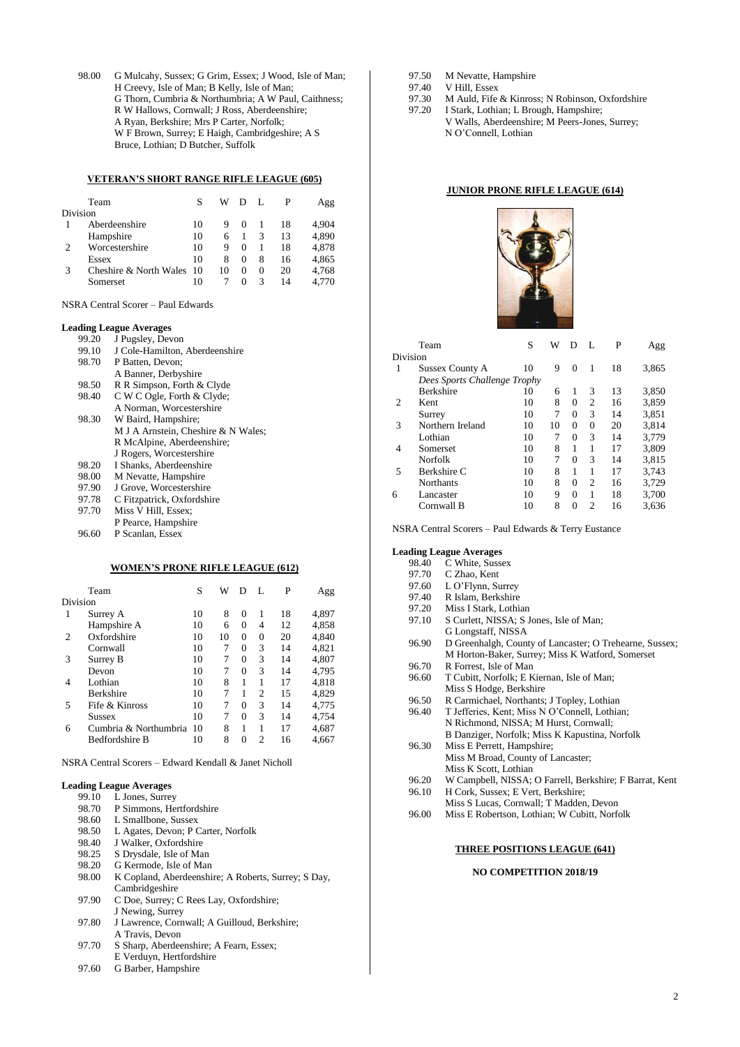98.00 G Mulcahy, Sussex; G Grim, Essex; J Wood, Isle of Man; H Creevy, Isle of Man; B Kelly, Isle of Man; G Thorn, Cumbria & Northumbria; A W Paul, Caithness; R W Hallows, Cornwall; J Ross, Aberdeenshire; A Ryan, Berkshire; Mrs P Carter, Norfolk; W F Brown, Surrey; E Haigh, Cambridgeshire; A S Bruce, Lothian; D Butcher, Suffolk

### **VETERAN'S SHORT RANGE RIFLE LEAGUE (605)**

|               | Team                      |    | W  | Ð                 | – Г.     |    | Agg   |
|---------------|---------------------------|----|----|-------------------|----------|----|-------|
| Division      |                           |    |    |                   |          |    |       |
|               | Aberdeenshire             | 10 | 9  |                   |          | 18 | 4.904 |
|               | Hampshire                 | 10 | 6  |                   | 3        | 13 | 4,890 |
| $\mathcal{P}$ | Worcestershire            | 10 | 9  | $\Omega$          |          | 18 | 4,878 |
|               | Essex                     | 10 | 8  | 0                 | 8        | 16 | 4,865 |
| 3             | Cheshire & North Wales 10 |    | 10 | $\mathbf{\Omega}$ | $\Omega$ | 20 | 4,768 |
|               | Somerset                  | 10 |    |                   | 3        | 14 | 4.770 |

NSRA Central Scorer – Paul Edwards

#### **Leading League Averages**

| 99.20 | J Pugsley, Devon                    |
|-------|-------------------------------------|
| 99.10 | J Cole-Hamilton, Aberdeenshire      |
| 98.70 | P Batten, Devon;                    |
|       | A Banner, Derbyshire                |
| 98.50 | R R Simpson, Forth & Clyde          |
| 98.40 | C W C Ogle, Forth & Clyde;          |
|       | A Norman, Worcestershire            |
| 98.30 | W Baird, Hampshire;                 |
|       | M J A Arnstein, Cheshire & N Wales; |
|       | R McAlpine, Aberdeenshire;          |
|       | J Rogers, Worcestershire            |
| 98.20 | I Shanks, Aberdeenshire             |
| 98.00 | M Nevatte, Hampshire                |
| 97.90 | J Grove, Worcestershire             |
| 97.78 | C Fitzpatrick, Oxfordshire          |
| 97.70 | Miss V Hill, Essex;                 |
|       | P Pearce, Hampshire                 |

96.60 P Scanlan, Essex

#### **WOMEN'S PRONE RIFLE LEAGUE (612)**

|          | Team                  | S  | W  | D        | L              | P  | Agg   |
|----------|-----------------------|----|----|----------|----------------|----|-------|
| Division |                       |    |    |          |                |    |       |
|          | Surrey A              | 10 | 8  | 0        | 1              | 18 | 4.897 |
|          | Hampshire A           | 10 | 6  | 0        | 4              | 12 | 4,858 |
| 2        | Oxfordshire           | 10 | 10 | 0        | $\theta$       | 20 | 4.840 |
|          | Cornwall              | 10 | 7  | 0        | 3              | 14 | 4.821 |
| 3        | Surrey B              | 10 | 7  | $\Omega$ | 3              | 14 | 4.807 |
|          | Devon                 | 10 | 7  | $\Omega$ | 3              | 14 | 4.795 |
| 4        | Lothian               | 10 | 8  | 1        | 1              | 17 | 4,818 |
|          | <b>Berkshire</b>      | 10 | 7  | 1        | $\overline{c}$ | 15 | 4.829 |
| 5        | Fife & Kinross        | 10 | 7  | 0        | 3              | 14 | 4,775 |
|          | <b>Sussex</b>         | 10 | 7  | $\Omega$ | 3              | 14 | 4,754 |
| 6        | Cumbria & Northumbria | 10 | 8  | 1        | 1              | 17 | 4,687 |
|          | <b>Bedfordshire B</b> | 10 | 8  | 0        | $\overline{c}$ | 16 | 4.667 |
|          |                       |    |    |          |                |    |       |

NSRA Central Scorers – Edward Kendall & Janet Nicholl

## **Leading League Averages**

- 99.10 L Jones, Surrey 98.70 P Simmons, Hertfordshire
- 
- 98.60 L Smallbone, Sussex<br>98.50 L Agates, Devon; P C 98.50 L Agates, Devon; P Carter, Norfolk<br>98.40 J Walker. Oxfordshire
- J Walker, Oxfordshire
- 
- 98.25 S Drysdale, Isle of Man<br>98.20 G Kermode, Isle of Mar
- 98.20 G Kermode, Isle of Man<br>98.00 K Copland, Aberdeenshi 98.00 K Copland, Aberdeenshire; A Roberts, Surrey; S Day, Cambridgeshire
- 97.90 C Doe, Surrey; C Rees Lay, Oxfordshire; J Newing, Surrey
- 97.80 J Lawrence, Cornwall: A Guilloud, Berkshire: A Travis, Devon
- 97.70 S Sharp, Aberdeenshire; A Fearn, Essex;
- E Verduyn, Hertfordshire
- 97.60 G Barber, Hampshire
- 97.50 M Nevatte, Hampshire<br>97.40 V Hill, Essex
- 97.40 V Hill, Essex<br>97.30 M Auld. Fife
- 97.30 M Auld, Fife & Kinross; N Robinson, Oxfordshire<br>97.20 I Stark, Lothian; L Brough, Hampshire; I Stark, Lothian; L Brough, Hampshire; V Walls, Aberdeenshire; M Peers-Jones, Surrey; N O'Connell, Lothian

#### **JUNIOR PRONE RIFLE LEAGUE (614)**



|          | Team                         | S  | W  | D        |                | P  | Agg   |
|----------|------------------------------|----|----|----------|----------------|----|-------|
| Division |                              |    |    |          |                |    |       |
| 1        | <b>Sussex County A</b>       | 10 | 9  | $\Omega$ | 1              | 18 | 3,865 |
|          | Dees Sports Challenge Trophy |    |    |          |                |    |       |
|          | <b>Berkshire</b>             | 10 | 6  | 1        | 3              | 13 | 3,850 |
| 2        | Kent                         | 10 | 8  | $\Omega$ | $\overline{c}$ | 16 | 3.859 |
|          | Surrey                       | 10 | 7  | $\Omega$ | 3              | 14 | 3.851 |
| 3        | Northern Ireland             | 10 | 10 | $\Omega$ | $\theta$       | 20 | 3,814 |
|          | Lothian                      | 10 | 7  | $\Omega$ | 3              | 14 | 3.779 |
| 4        | Somerset                     | 10 | 8  | 1        | 1              | 17 | 3,809 |
|          | Norfolk                      | 10 | 7  | $\Omega$ | 3              | 14 | 3.815 |
| 5        | Berkshire C                  | 10 | 8  | 1        | 1              | 17 | 3,743 |
|          | <b>Northants</b>             | 10 | 8  | $\Omega$ | $\overline{c}$ | 16 | 3,729 |
| 6        | Lancaster                    | 10 | 9  | $\Omega$ | 1              | 18 | 3,700 |
|          | Cornwall B                   | 10 | 8  | $\Omega$ | 2              | 16 | 3.636 |
|          |                              |    |    |          |                |    |       |

NSRA Central Scorers – Paul Edwards & Terry Eustance

#### **Leading League Averages**

| 98.40 | C White, Sussex                                         |
|-------|---------------------------------------------------------|
| 97.70 | C Zhao, Kent                                            |
| 97.60 | L O'Flynn, Surrey                                       |
| 97.40 | R Islam, Berkshire                                      |
| 97.20 | Miss I Stark, Lothian                                   |
| 97.10 | S Curlett, NISSA; S Jones, Isle of Man;                 |
|       | G Longstaff, NISSA                                      |
| 96.90 | D Greenhalgh, County of Lancaster; O Trehearne, Sussex; |
|       | M Horton-Baker, Surrey; Miss K Watford, Somerset        |
| 96.70 | R Forrest, Isle of Man                                  |
| 96.60 | T Cubitt, Norfolk; E Kiernan, Isle of Man;              |
|       | Miss S Hodge, Berkshire                                 |
| 96.50 | R Carmichael, Northants; J Topley, Lothian              |
| 96.40 | T Jefferies, Kent; Miss N O'Connell, Lothian;           |
|       | N Richmond, NISSA; M Hurst, Cornwall;                   |
|       | B Danziger, Norfolk; Miss K Kapustina, Norfolk          |
| 96.30 | Miss E Perrett, Hampshire;                              |
|       | Miss M Broad, County of Lancaster;                      |
|       | Miss K Scott, Lothian                                   |
| 96.20 | W Campbell, NISSA; O Farrell, Berkshire; F Barrat, Kent |
| 96.10 | H Cork, Sussex; E Vert, Berkshire;                      |
|       | Miss S Lucas, Cornwall; T Madden, Devon                 |

96.00 Miss E Robertson, Lothian; W Cubitt, Norfolk

## **THREE POSITIONS LEAGUE (641)**

#### **NO COMPETITION 2018/19**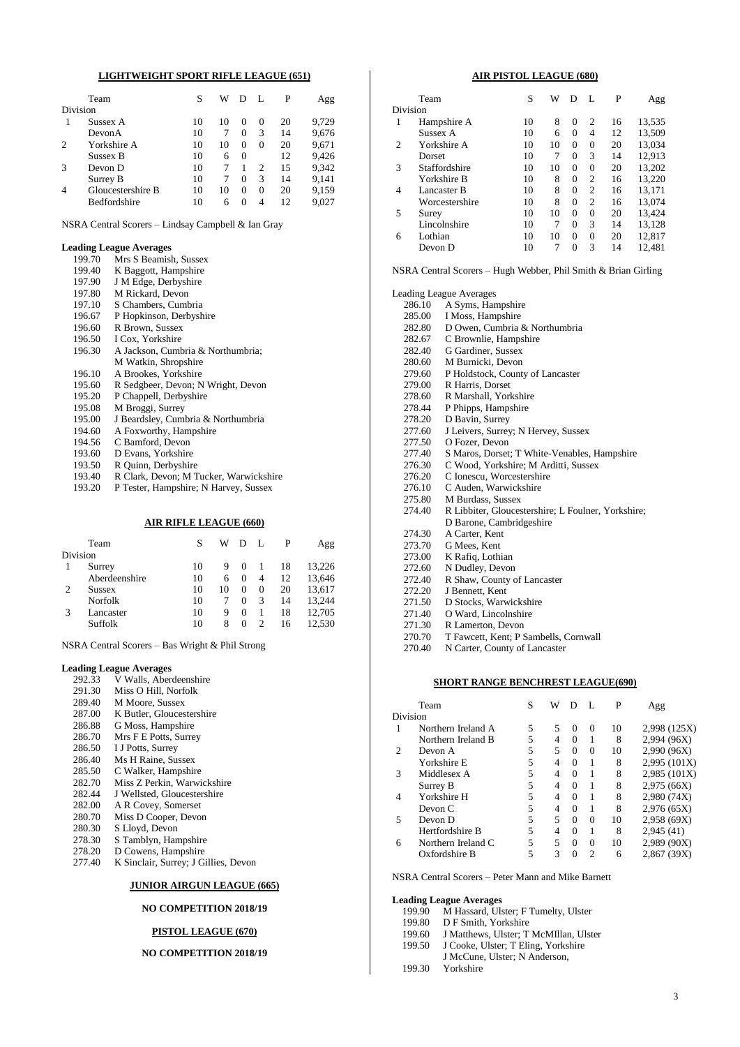### **LIGHTWEIGHT SPORT RIFLE LEAGUE (651)**

|                | Team              | S  | W  |          |          | P  | Agg   |
|----------------|-------------------|----|----|----------|----------|----|-------|
| Division       |                   |    |    |          |          |    |       |
|                | Sussex A          | 10 | 10 | $_{0}$   | $\Omega$ | 20 | 9,729 |
|                | DevonA            | 10 |    | $\Omega$ | 3        | 14 | 9,676 |
| $\overline{c}$ | Yorkshire A       | 10 | 10 | $\Omega$ | $\Omega$ | 20 | 9,671 |
|                | Sussex B          | 10 | 6  | $\Omega$ |          | 12 | 9,426 |
| 3              | Devon D           | 10 |    |          | 2        | 15 | 9,342 |
|                | Surrey B          | 10 |    | 0        | 3        | 14 | 9,141 |
| $\overline{4}$ | Gloucestershire B | 10 | 10 | $\Omega$ | $\Omega$ | 20 | 9,159 |
|                | Bedfordshire      | 10 | 6  | $\Omega$ | 4        | 12 | 9,027 |

NSRA Central Scorers – Lindsay Campbell & Ian Gray

### **Leading League Averages**

| 199.70 | Mrs S Beamish, Sussex                  |
|--------|----------------------------------------|
| 199.40 | K Baggott, Hampshire                   |
| 197.90 | J M Edge, Derbyshire                   |
| 197.80 | M Rickard, Devon                       |
| 197.10 | S Chambers, Cumbria                    |
| 196.67 | P Hopkinson, Derbyshire                |
| 196.60 | R Brown, Sussex                        |
| 196.50 | I Cox, Yorkshire                       |
| 196.30 | A Jackson, Cumbria & Northumbria;      |
|        | M Watkin, Shropshire                   |
| 196.10 | A Brookes, Yorkshire                   |
| 195.60 | R Sedgbeer, Devon; N Wright, Devon     |
| 195.20 | P Chappell, Derbyshire                 |
| 195.08 | M Broggi, Surrey                       |
| 195.00 | J Beardsley, Cumbria & Northumbria     |
| 194.60 | A Foxworthy, Hampshire                 |
| 194.56 | C Bamford, Devon                       |
| 193.60 | D Evans, Yorkshire                     |
| 193.50 | R Quinn, Derbyshire                    |
| 193.40 | R Clark, Devon; M Tucker, Warwickshire |
|        |                                        |

193.20 P Tester, Hampshire; N Harvey, Sussex

#### **AIR RIFLE LEAGUE (660)**

|          | Team           | S  | W  | D        | $\mathbf{L}$ | P  | Agg    |
|----------|----------------|----|----|----------|--------------|----|--------|
| Division |                |    |    |          |              |    |        |
|          | Surrey         | 10 | 9  | $\Omega$ |              | 18 | 13,226 |
|          | Aberdeenshire  | 10 | 6  | $\Omega$ | 4            | 12 | 13,646 |
| 2        | <b>Sussex</b>  | 10 | 10 | 0        | $^{(1)}$     | 20 | 13,617 |
|          | <b>Norfolk</b> | 10 |    | $\Omega$ | 3            | 14 | 13.244 |
| 3        | Lancaster      | 10 | 9  | $\Omega$ |              | 18 | 12,705 |
|          | Suffolk        | 10 | 8  | $\Omega$ |              | 16 | 12,530 |

NSRA Central Scorers – Bas Wright & Phil Strong

#### **Leading League Averages**

- 292.33 V Walls, Aberdeenshire
- 291.30 Miss O Hill, Norfolk
- 289.40 M Moore, Sussex
- 287.00 K Butler, Gloucestershire
- 286.88 G Moss, Hampshire
- 286.70 Mrs F E Potts, Surrey
- 286.50 I J Potts, Surrey
- 286.40 Ms H Raine, Sussex
- 285.50 C Walker, Hampshire
- 282.70 Miss Z Perkin, Warwickshire 282.44 J Wellsted, Gloucestershire
- 282.00 A R Covey, Somerset
- 280.70 Miss D Cooper, Devon
- 280.30 S Lloyd, Devon
- 278.30 S Tamblyn, Hampshire
- 278.20 D Cowens, Hampshire
- 277.40 K Sinclair, Surrey; J Gillies, Devon

### **JUNIOR AIRGUN LEAGUE (665)**

### **NO COMPETITION 2018/19**

## **PISTOL LEAGUE (670)**

## **NO COMPETITION 2018/19**

#### **AIR PISTOL LEAGUE (680)**

|          | Team           | S  | W  | D        | L              | P  | Agg    |
|----------|----------------|----|----|----------|----------------|----|--------|
| Division |                |    |    |          |                |    |        |
| 1        | Hampshire A    | 10 | 8  | $\Omega$ | $\overline{c}$ | 16 | 13,535 |
|          | Sussex A       | 10 | 6  | $\Omega$ | 4              | 12 | 13,509 |
| 2        | Yorkshire A    | 10 | 10 | 0        | $\Omega$       | 20 | 13,034 |
|          | Dorset         | 10 | 7  | $\Omega$ | 3              | 14 | 12,913 |
| 3        | Staffordshire  | 10 | 10 | $\Omega$ | $\overline{0}$ | 20 | 13,202 |
|          | Yorkshire B    | 10 | 8  | $\Omega$ | $\overline{c}$ | 16 | 13,220 |
| 4        | Lancaster B    | 10 | 8  | $\theta$ | $\overline{c}$ | 16 | 13,171 |
|          | Worcestershire | 10 | 8  | $\Omega$ | $\overline{c}$ | 16 | 13,074 |
| 5        | Surey          | 10 | 10 | $\Omega$ | $\Omega$       | 20 | 13,424 |
|          | Lincolnshire   | 10 | 7  | $\Omega$ | 3              | 14 | 13,128 |
| 6        | Lothian        | 10 | 10 | $\Omega$ | 0              | 20 | 12,817 |
|          | Devon D        | 10 | 7  | $\Omega$ | 3              | 14 | 12,481 |

NSRA Central Scorers – Hugh Webber, Phil Smith & Brian Girling

Leading League Averages<br>286.10 A Syms Han

| 286.10 | A Syms, Hampshire                                  |
|--------|----------------------------------------------------|
| 285.00 | I Moss, Hampshire                                  |
| 282.80 | D Owen, Cumbria & Northumbria                      |
| 282.67 | C Brownlie, Hampshire                              |
| 282.40 | G Gardiner, Sussex                                 |
| 280.60 | M Burnicki, Devon                                  |
| 279.60 | P Holdstock, County of Lancaster                   |
| 279.00 | R Harris, Dorset                                   |
| 278.60 | R Marshall, Yorkshire                              |
| 278.44 | P Phipps, Hampshire                                |
| 278.20 | D Bavin, Surrey                                    |
| 277.60 | J Leivers, Surrey; N Hervey, Sussex                |
| 277.50 | O Fozer, Devon                                     |
| 277.40 | S Maros, Dorset; T White-Venables, Hampshire       |
| 276.30 | C Wood, Yorkshire; M Arditti, Sussex               |
| 276.20 | C Ionescu, Worcestershire                          |
| 276.10 | C Auden, Warwickshire                              |
| 275.80 | M Burdass, Sussex                                  |
| 274.40 | R Libbiter, Gloucestershire; L Foulner, Yorkshire; |
|        | D Barone, Cambridgeshire                           |
| 274.30 | A Carter, Kent                                     |
| 273.70 | G Mees, Kent                                       |
| 273.00 | K Rafiq, Lothian                                   |
| 272.60 | N Dudley, Devon                                    |
| 272.40 | R Shaw, County of Lancaster                        |
| 272.20 | J Bennett, Kent                                    |
| 271.50 | D Stocks, Warwickshire                             |
| 271.40 | O Ward, Lincolnshire                               |
| 271.30 | R Lamerton, Devon                                  |
| 270.70 | T Fawcett, Kent; P Sambells, Cornwall              |
| 270.40 | N Carter, County of Lancaster                      |

**SHORT RANGE BENCHREST LEAGUE(690)**

|   | Team               | S | W | Ð        |          | P  | Agg          |
|---|--------------------|---|---|----------|----------|----|--------------|
|   | Division           |   |   |          |          |    |              |
|   | Northern Ireland A | 5 | 5 | $\Omega$ | $\Omega$ | 10 | 2,998 (125X) |
|   | Northern Ireland B | 5 | 4 | $\Omega$ |          | 8  | 2,994 (96X)  |
|   | Devon A            | 5 | 5 | $\Omega$ | $\Omega$ | 10 | 2,990 (96X)  |
|   | Yorkshire E        | 5 | 4 | $\Omega$ |          | 8  | 2,995(101X)  |
| 3 | Middlesex A        | 5 | 4 | $\Omega$ | 1        | 8  | 2,985 (101X) |
|   | Surrey B           | 5 | 4 | $\Omega$ | 1        | 8  | 2,975(66X)   |
| 4 | Yorkshire H        | 5 | 4 | $\Omega$ |          | 8  | 2,980 (74X)  |
|   | Devon C            | 5 | 4 | $\Omega$ |          | 8  | 2,976(65X)   |
| 5 | Devon D            | 5 | 5 | $\Omega$ | $\Omega$ | 10 | 2,958(69X)   |
|   | Hertfordshire B    | 5 | 4 | $\Omega$ |          | 8  | 2,945(41)    |
| 6 | Northern Ireland C | 5 | 5 | $\Omega$ | $\Omega$ | 10 | 2,989 (90X)  |
|   | Oxfordshire B      | 5 | 3 |          | っ        | 6  | 2,867 (39X)  |
|   |                    |   |   |          |          |    |              |

NSRA Central Scorers – Peter Mann and Mike Barnett

#### **Leading League Averages**

- 199.90 M Hassard, Ulster; F Tumelty, Ulster
- 199.80 D F Smith, Yorkshire
- 199.60 J Matthews, Ulster; T McMIllan, Ulster
- 199.50 J Cooke, Ulster; T Eling, Yorkshire
- J McCune, Ulster; N Anderson,
- 199.30 Yorkshire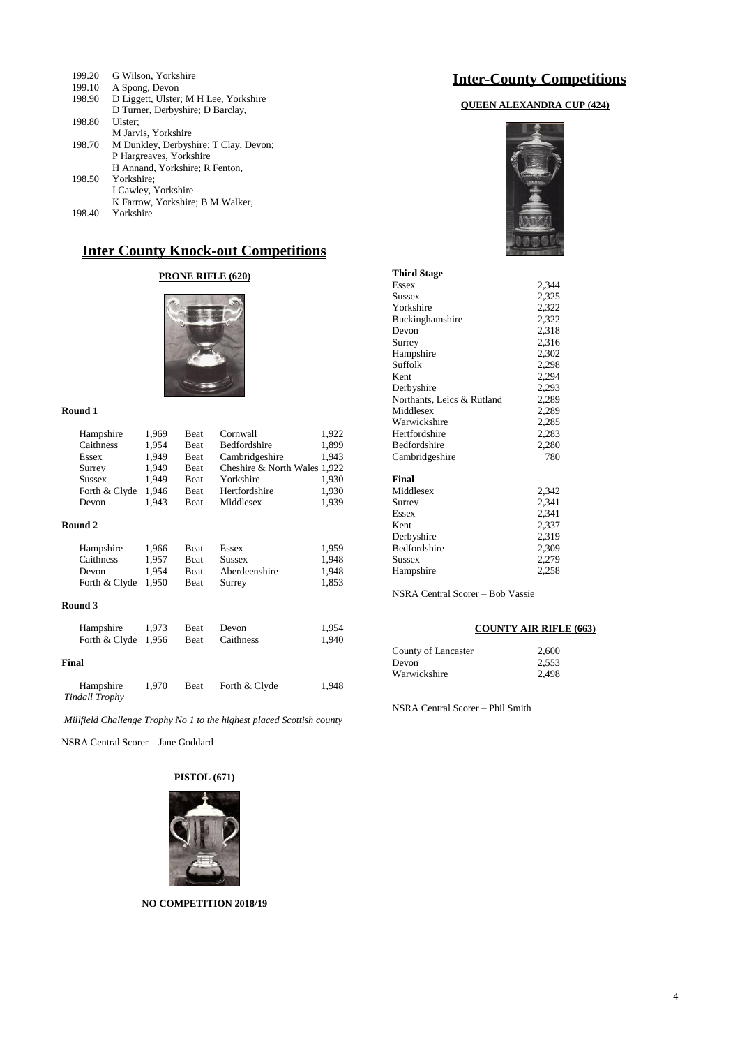| 199.20 | G Wilson, Yorkshire                   |
|--------|---------------------------------------|
| 199.10 | A Spong, Devon                        |
| 198.90 | D Liggett, Ulster; M H Lee, Yorkshire |
|        | D Turner, Derbyshire; D Barclay,      |
| 198.80 | Ulster:                               |
|        | M Jarvis, Yorkshire                   |
| 198.70 | M Dunkley, Derbyshire; T Clay, Devon; |
|        | P Hargreaves, Yorkshire               |
|        | H Annand, Yorkshire; R Fenton,        |
| 198.50 | Yorkshire;                            |
|        | I Cawley, Yorkshire                   |
|        | K Farrow, Yorkshire; B M Walker,      |
| 198.40 | Yorkshire                             |

## **Inter County Knock-out Competitions**

## **PRONE RIFLE (620)**



#### **Round 1**

|       | Hampshire                          | 1,969 | <b>Beat</b> | Cornwall                     | 1,922 |
|-------|------------------------------------|-------|-------------|------------------------------|-------|
|       | Caithness                          | 1,954 | <b>Beat</b> | Bedfordshire                 | 1,899 |
|       | Essex                              | 1,949 | <b>Beat</b> | Cambridgeshire               | 1,943 |
|       | Surrey                             | 1,949 | <b>Beat</b> | Cheshire & North Wales 1,922 |       |
|       | <b>Sussex</b>                      | 1,949 | <b>Beat</b> | Yorkshire                    | 1,930 |
|       | Forth & Clyde                      | 1,946 | <b>Beat</b> | Hertfordshire                | 1,930 |
|       | Devon                              | 1,943 | <b>Beat</b> | Middlesex                    | 1,939 |
|       | Round 2                            |       |             |                              |       |
|       | Hampshire                          | 1,966 | <b>Beat</b> | Essex                        | 1,959 |
|       | Caithness                          | 1,957 | <b>Beat</b> | Sussex                       | 1,948 |
|       | Devon                              | 1,954 | <b>Beat</b> | Aberdeenshire                | 1,948 |
|       | Forth & Clyde                      | 1,950 | Beat        | Surrey                       | 1,853 |
|       | Round 3                            |       |             |                              |       |
|       | Hampshire                          | 1,973 | <b>Beat</b> | Devon                        | 1,954 |
|       | Forth & Clyde                      | 1,956 | <b>Beat</b> | Caithness                    | 1,940 |
| Final |                                    |       |             |                              |       |
|       | Hampshire<br><b>Tindall Trophy</b> | 1,970 | Beat        | Forth & Clyde                | 1,948 |
|       |                                    |       |             |                              |       |

*Millfield Challenge Trophy No 1 to the highest placed Scottish county*

NSRA Central Scorer – Jane Goddard

#### **PISTOL (671)**



**NO COMPETITION 2018/19**

## **Inter-County Competitions**

## **QUEEN ALEXANDRA CUP (424)**



| <b>Third Stage</b>         |       |
|----------------------------|-------|
| Essex                      | 2.344 |
| Sussex                     | 2.325 |
| Yorkshire                  | 2,322 |
| Buckinghamshire            | 2,322 |
| Devon                      | 2,318 |
| Surrey                     | 2,316 |
| Hampshire                  | 2,302 |
| Suffolk                    | 2,298 |
| Kent                       | 2,294 |
| Derbyshire                 | 2,293 |
| Northants, Leics & Rutland | 2,289 |
| Middlesex                  | 2.289 |
| Warwickshire               | 2,285 |
| Hertfordshire              | 2,283 |
| <b>Bedfordshire</b>        | 2,280 |
| Cambridgeshire             | 780   |
| Final                      |       |
| Middlesex                  | 2.342 |
| Surrey                     | 2,341 |
| Essex                      | 2,341 |
| Kent                       | 2,337 |
| Derbyshire                 | 2,319 |
| <b>Bedfordshire</b>        | 2,309 |
| <b>Sussex</b>              | 2,279 |
| Hampshire                  | 2,258 |

NSRA Central Scorer – Bob Vassie

## **COUNTY AIR RIFLE (663)**

| County of Lancaster | 2.600 |
|---------------------|-------|
| Devon               | 2.553 |
| Warwickshire        | 2.498 |

NSRA Central Scorer – Phil Smith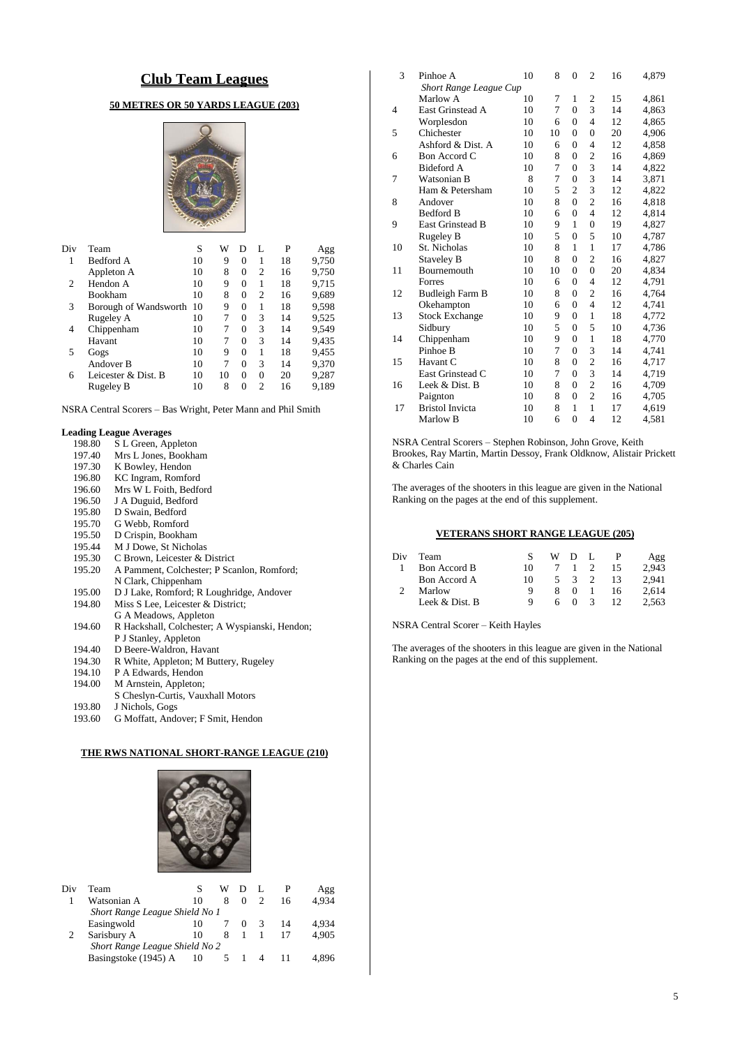## **Club Team Leagues**

## **50 METRES OR 50 YARDS LEAGUE (203)**



| Div | Team                     | S  | W  | D        | L              | P  | Agg   |
|-----|--------------------------|----|----|----------|----------------|----|-------|
|     | Bedford A                | 10 | 9  | 0        | 1              | 18 | 9,750 |
|     | Appleton A               | 10 | 8  | 0        | $\overline{c}$ | 16 | 9,750 |
| 2   | Hendon A                 | 10 | 9  | $\Omega$ | 1              | 18 | 9,715 |
|     | <b>Bookham</b>           | 10 | 8  | 0        | 2              | 16 | 9,689 |
| 3   | Borough of Wandsworth 10 |    | 9  | 0        |                | 18 | 9,598 |
|     | Rugeley A                | 10 | 7  | 0        | 3              | 14 | 9,525 |
| 4   | Chippenham               | 10 | 7  | 0        | 3              | 14 | 9,549 |
|     | Havant                   | 10 | 7  | 0        | 3              | 14 | 9,435 |
| 5   | Gogs                     | 10 | 9  | 0        | 1              | 18 | 9,455 |
|     | Andover B                | 10 | 7  | 0        | 3              | 14 | 9,370 |
| 6   | Leicester & Dist. B      | 10 | 10 | 0        | $\Omega$       | 20 | 9,287 |
|     | Rugeley B                | 10 | 8  | 0        | $\mathfrak{D}$ | 16 | 9,189 |

NSRA Central Scorers – Bas Wright, Peter Mann and Phil Smith

## **Leading League Averages**

| 198.80 | S L Green, Appleton                            |
|--------|------------------------------------------------|
| 197.40 | Mrs L Jones, Bookham                           |
| 197.30 | K Bowley, Hendon                               |
| 196.80 | KC Ingram, Romford                             |
| 196.60 | Mrs W L Foith, Bedford                         |
| 196.50 | J A Duguid, Bedford                            |
| 195.80 | D Swain, Bedford                               |
| 195.70 | G Webb, Romford                                |
| 195.50 | D Crispin, Bookham                             |
| 195.44 | M J Dowe, St Nicholas                          |
| 195.30 | C Brown, Leicester & District                  |
| 195.20 | A Pamment, Colchester; P Scanlon, Romford;     |
|        | N Clark, Chippenham                            |
| 195.00 | D J Lake, Romford; R Loughridge, Andover       |
| 194.80 | Miss S Lee, Leicester & District;              |
|        | G A Meadows, Appleton                          |
| 194.60 | R Hackshall, Colchester; A Wyspianski, Hendon; |
|        | P J Stanley, Appleton                          |
| 194.40 | D Beere-Waldron, Havant                        |
| 194.30 | R White, Appleton; M Buttery, Rugeley          |
| 194.10 | P A Edwards, Hendon                            |
| 194.00 | M Arnstein, Appleton;                          |

- 
- S Cheslyn-Curtis, Vauxhall Motors
- 193.80 J Nichols, Gogs
- 193.60 G Moffatt, Andover; F Smit, Hendon

## **THE RWS NATIONAL SHORT-RANGE LEAGUE (210)**



| Div                            | Team                           |    | W |  |   |    | Agg   |
|--------------------------------|--------------------------------|----|---|--|---|----|-------|
|                                | Watsonian A                    | 10 | 8 |  |   | 16 | 4.934 |
|                                | Short Range League Shield No 1 |    |   |  |   |    |       |
|                                | Easingwold                     | 10 |   |  | 3 | 14 | 4.934 |
|                                | Sarisbury A                    | 10 | 8 |  |   |    | 4.905 |
| Short Range League Shield No 2 |                                |    |   |  |   |    |       |
|                                | Basingstoke (1945) A           | 10 |   |  | 4 |    | 4.896 |
|                                |                                |    |   |  |   |    |       |

| Pinhoe A                | 10                                              | 8                             | 0              | $\overline{c}$ | 16 | 4,879 |
|-------------------------|-------------------------------------------------|-------------------------------|----------------|----------------|----|-------|
|                         |                                                 |                               |                |                |    |       |
| Marlow A                | 10                                              | 7                             | 1              | 2              | 15 | 4,861 |
| East Grinstead A        | 10                                              | 7                             | $\theta$       | 3              | 14 | 4,863 |
| Worplesdon              | 10                                              | 6                             | $\theta$       | $\overline{4}$ | 12 | 4,865 |
| Chichester              | 10                                              | 10                            | $\overline{0}$ | $\overline{0}$ | 20 | 4,906 |
| Ashford & Dist. A       | 10                                              | 6                             | $\overline{0}$ | 4              | 12 | 4,858 |
| Bon Accord C            | 10                                              | 8                             | $\overline{0}$ | $\overline{c}$ | 16 | 4,869 |
| Bideford A              | 10                                              | 7                             | $\theta$       | 3              | 14 | 4,822 |
| Watsonian B             | 8                                               | 7                             | $\overline{0}$ | 3              | 14 | 3,871 |
| Ham & Petersham         | 10                                              | 5                             | $\overline{c}$ | 3              | 12 | 4,822 |
| Andover                 | 10                                              | 8                             | $\theta$       | $\overline{c}$ | 16 | 4,818 |
| <b>Bedford B</b>        | 10                                              | 6                             | $\overline{0}$ | $\overline{4}$ | 12 | 4,814 |
| <b>East Grinstead B</b> | 10                                              | 9                             | 1              | $\overline{0}$ | 19 | 4,827 |
| Rugeley B               | 10                                              | 5                             | $\overline{0}$ | 5              | 10 | 4,787 |
| St. Nicholas            | 10                                              | 8                             | 1              | 1              | 17 | 4,786 |
|                         | 10                                              | 8                             | $\overline{0}$ | $\overline{2}$ | 16 | 4,827 |
| Bournemouth             | 10                                              | 10                            | $\overline{0}$ | $\overline{0}$ | 20 | 4,834 |
| Forres                  | 10                                              | 6                             | $\theta$       | $\overline{4}$ | 12 | 4,791 |
| Budleigh Farm B         | 10                                              | 8                             | $\theta$       | $\mathbf{2}$   | 16 | 4,764 |
| Okehampton              | 10                                              | 6                             | $\overline{0}$ | $\overline{4}$ | 12 | 4,741 |
|                         | 10                                              | 9                             | $\overline{0}$ | 1              | 18 | 4,772 |
| Sidbury                 | 10                                              | 5                             | $\overline{0}$ | 5              | 10 | 4,736 |
| Chippenham              | 10                                              | 9                             | $\overline{0}$ | $\mathbf{1}$   | 18 | 4,770 |
| Pinhoe B                | 10                                              | 7                             | $\overline{0}$ | 3              | 14 | 4,741 |
| Havant C                | 10                                              | 8                             | $\overline{0}$ | $\overline{c}$ | 16 | 4,717 |
| East Grinstead C        | 10                                              | 7                             | $\overline{0}$ | 3              | 14 | 4,719 |
| Leek & Dist. B          | 10                                              | 8                             | $\overline{0}$ | $\overline{c}$ | 16 | 4,709 |
|                         | 10                                              | 8                             | $\overline{0}$ | $\overline{2}$ | 16 | 4,705 |
| <b>Bristol Invicta</b>  | 10                                              | 8                             | $\mathbf{1}$   | 1              | 17 | 4,619 |
| Marlow B                | 10                                              | 6                             | $\overline{0}$ | $\overline{4}$ | 12 | 4,581 |
|                         | Staveley B<br><b>Stock Exchange</b><br>Paignton | <b>Short Range League Cup</b> |                |                |    |       |

NSRA Central Scorers – Stephen Robinson, John Grove, Keith Brookes, Ray Martin, Martin Dessoy, Frank Oldknow, Alistair Prickett & Charles Cain

The averages of the shooters in this league are given in the National Ranking on the pages at the end of this supplement.

#### **VETERANS SHORT RANGE LEAGUE (205)**

| Div | Team           |    |        | WDL            |    | Agg   |
|-----|----------------|----|--------|----------------|----|-------|
|     | Bon Accord B   | 10 |        |                | 15 | 2.943 |
|     | Bon Accord A   | 10 | $\sim$ | $\overline{3}$ | 13 | 2.941 |
|     | Marlow         | Q  |        | $\Omega$       | 16 | 2.614 |
|     | Leek & Dist. B | Q  |        | $\theta$       |    | 2.563 |

NSRA Central Scorer – Keith Hayles

The averages of the shooters in this league are given in the National Ranking on the pages at the end of this supplement.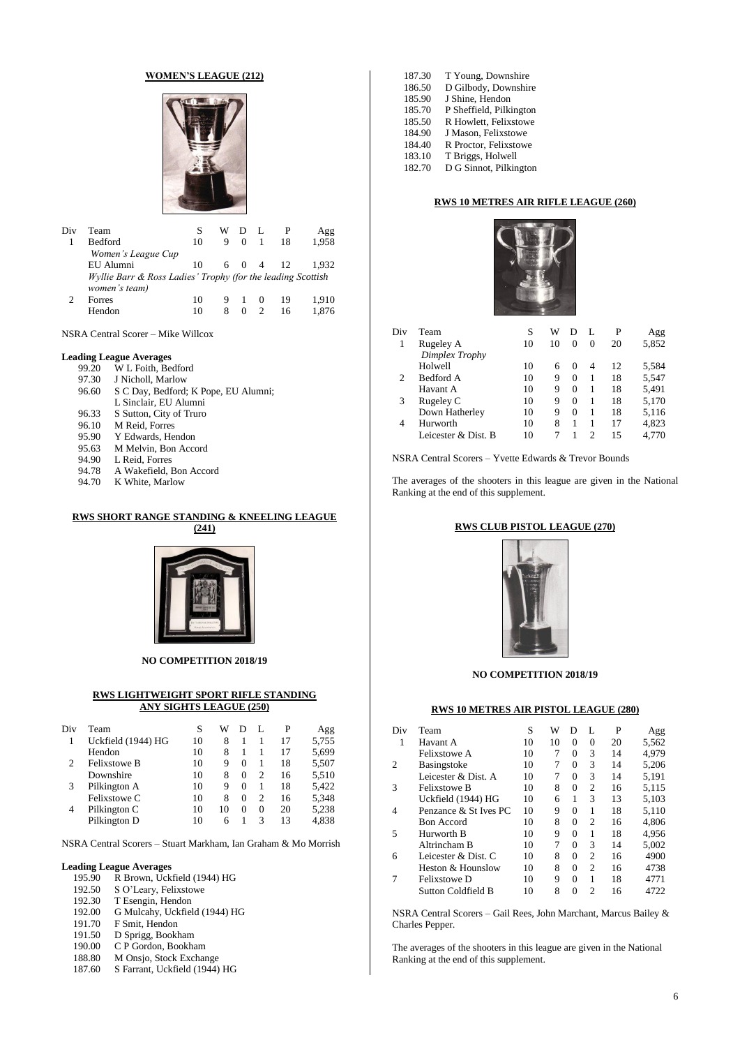#### **WOMEN'S LEAGUE (212)**



| Div | Team                                                        |    | w | Ð        |          |    | Agg   |
|-----|-------------------------------------------------------------|----|---|----------|----------|----|-------|
|     | <b>Bedford</b>                                              | 10 | 9 | $\Omega$ |          | 18 | 1.958 |
|     | Women's League Cup                                          |    |   |          |          |    |       |
|     | EU Alumni                                                   | 10 |   | 6 0 4    |          | 12 | 1.932 |
|     | Wyllie Barr & Ross Ladies' Trophy (for the leading Scottish |    |   |          |          |    |       |
|     | women's team)                                               |    |   |          |          |    |       |
|     | Forres                                                      | 10 | 9 |          | $\theta$ | 19 | 1,910 |
|     | Hendon                                                      | 10 | 8 |          |          |    |       |

NSRA Central Scorer – Mike Willcox

## **Leading League Averages**

| 99.20 | W L Foith, Bedford                   |
|-------|--------------------------------------|
| 97.30 | J Nicholl, Marlow                    |
| 96.60 | S C Day, Bedford; K Pope, EU Alumni; |
|       | L Sinclair, EU Alumni                |
| 96.33 | S Sutton, City of Truro              |
| 96.10 | M Reid, Forres                       |
| 95.90 | Y Edwards, Hendon                    |
| 95.63 | M Melvin, Bon Accord                 |
| 94.90 | L Reid. Forres                       |
| 94.78 | A Wakefield, Bon Accord              |
| Q4 70 | K White Marlow                       |

94.70 K White, Marlow

#### **RWS SHORT RANGE STANDING & KNEELING LEAGUE (241)**



**NO COMPETITION 2018/19**

#### **RWS LIGHTWEIGHT SPORT RIFLE STANDING ANY SIGHTS LEAGUE (250)**

| Div            | Team                | S  | W  | D        | L        | P  | Agg   |
|----------------|---------------------|----|----|----------|----------|----|-------|
|                | Uckfield (1944) HG  | 10 | 8  |          |          | 17 | 5,755 |
|                | Hendon              | 10 | 8  |          |          | 17 | 5,699 |
| $\overline{c}$ | <b>Felixstowe B</b> | 10 | 9  | $\Omega$ |          | 18 | 5,507 |
|                | Downshire           | 10 | 8  | 0        | 2        | 16 | 5,510 |
| 3              | Pilkington A        | 10 | 9  | 0        |          | 18 | 5,422 |
|                | Felixstowe C        | 10 | 8  | 0        | 2        | 16 | 5,348 |
| 4              | Pilkington C        | 10 | 10 | 0        | $\Omega$ | 20 | 5,238 |
|                | Pilkington D        | 10 | 6  |          | 3        | 13 | 4,838 |
|                |                     |    |    |          |          |    |       |

NSRA Central Scorers – Stuart Markham, Ian Graham & Mo Morrish

#### **Leading League Averages**

- 195.90 R Brown, Uckfield (1944) HG
- 192.50 S O'Leary, Felixstowe<br>192.30 T Esengin, Hendon
- T Esengin, Hendon
- 192.00 G Mulcahy, Uckfield (1944) HG
- 191.70 F Smit, Hendon
- 191.50 D Sprigg, Bookham
- 190.00 C P Gordon, Bookham
- 188.80 M Onsjo, Stock Exchange
- 187.60 S Farrant, Uckfield (1944) HG

| 187.30 | T Young, Downshire      |
|--------|-------------------------|
| 186.50 | D Gilbody, Downshire    |
| 185.90 | J Shine, Hendon         |
| 185.70 | P Sheffield, Pilkington |
| 185.50 | R Howlett, Felixstowe   |
| 184.90 | J Mason, Felixstowe     |
| 184.40 | R Proctor, Felixstowe   |
| 183.10 | T Briggs, Holwell       |
| 182.70 | D G Sinnot, Pilkington  |

## **RWS 10 METRES AIR RIFLE LEAGUE (260)**



| Div | Team                | S  | W  | Ð        | L        | P  | Agg   |
|-----|---------------------|----|----|----------|----------|----|-------|
|     | Rugeley A           | 10 | 10 | 0        | $\theta$ | 20 | 5,852 |
|     | Dimplex Trophy      |    |    |          |          |    |       |
|     | Holwell             | 10 | 6  | $\theta$ | 4        | 12 | 5,584 |
| 2   | Bedford A           | 10 | 9  | $\Omega$ |          | 18 | 5,547 |
|     | Havant A            | 10 | 9  | $\Omega$ | 1        | 18 | 5,491 |
| 3   | Rugeley C           | 10 | 9  | $\Omega$ | 1        | 18 | 5,170 |
|     | Down Hatherley      | 10 | 9  | $\Omega$ | 1        | 18 | 5,116 |
| 4   | Hurworth            | 10 | 8  |          |          | 17 | 4,823 |
|     | Leicester & Dist. B | 10 |    |          | 2        | 15 | 4.770 |

NSRA Central Scorers – Yvette Edwards & Trevor Bounds

The averages of the shooters in this league are given in the National Ranking at the end of this supplement.

#### **RWS CLUB PISTOL LEAGUE (270)**



### **NO COMPETITION 2018/19**

#### **RWS 10 METRES AIR PISTOL LEAGUE (280)**

| Team                  | S  | W  | D        | L              | P  | Agg   |
|-----------------------|----|----|----------|----------------|----|-------|
| Havant A              | 10 | 10 | $\Omega$ | $\Omega$       | 20 | 5,562 |
| Felixstowe A          | 10 | 7  | $\Omega$ | 3              | 14 | 4,979 |
| <b>Basingstoke</b>    | 10 | 7  | 0        | 3              | 14 | 5.206 |
| Leicester & Dist. A   | 10 | 7  | $\Omega$ | 3              | 14 | 5,191 |
| <b>Felixstowe B</b>   | 10 | 8  | $\Omega$ | $\overline{c}$ | 16 | 5.115 |
| Uckfield (1944) HG    | 10 | 6  | 1        | 3              | 13 | 5.103 |
| Penzance & St Ives PC | 10 | 9  | $\Omega$ | 1              | 18 | 5,110 |
| <b>Bon</b> Accord     | 10 | 8  | $\Omega$ | $\mathfrak{D}$ | 16 | 4.806 |
| Hurworth B            | 10 | 9  | $\Omega$ | 1              | 18 | 4.956 |
| Altrincham B          | 10 | 7  | $\Omega$ | 3              | 14 | 5,002 |
| Leicester & Dist. C   | 10 | 8  | $\Omega$ | $\overline{c}$ | 16 | 4900  |
| Heston & Hounslow     | 10 | 8  | $\Omega$ | $\mathfrak{D}$ | 16 | 4738  |
| Felixstowe D          | 10 | 9  | $\Omega$ | 1              | 18 | 4771  |
| Sutton Coldfield B    | 10 | 8  | $\Omega$ | $\mathfrak{D}$ | 16 | 4722  |
|                       |    |    |          |                |    |       |

NSRA Central Scorers – Gail Rees, John Marchant, Marcus Bailey & Charles Pepper.

The averages of the shooters in this league are given in the National Ranking at the end of this supplement.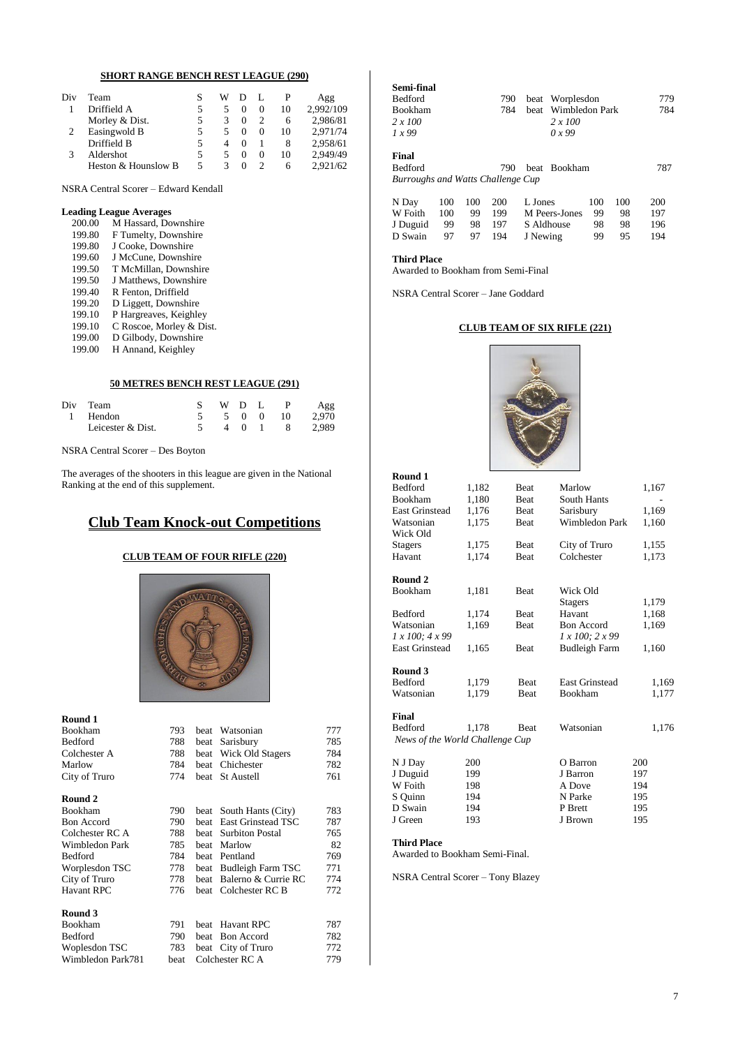## **SHORT RANGE BENCH REST LEAGUE (290)**

| Div | Team                |   | w |   |    | Agg       |
|-----|---------------------|---|---|---|----|-----------|
|     | Driffield A         |   | 5 | 0 | 10 | 2.992/109 |
|     | Morley & Dist.      |   |   |   | 6  | 2,986/81  |
|     | Easingwold B        |   | 5 | 0 | 10 | 2,971/74  |
|     | Driffield B         |   | 4 |   | 8  | 2,958/61  |
| 3   | Aldershot           | 5 | 5 | 0 | 10 | 2.949/49  |
|     | Heston & Hounslow B | 5 |   |   | h  | 2.921/62  |

NSRA Central Scorer – Edward Kendall

#### **Leading League Averages**

| 200.00 | M Hassard, Downshire     |
|--------|--------------------------|
| 199.80 | F Tumelty, Downshire     |
| 199.80 | J Cooke, Downshire       |
| 199.60 | J McCune, Downshire      |
| 199.50 | T McMillan, Downshire    |
| 199.50 | J Matthews, Downshire    |
| 199.40 | R Fenton, Driffield      |
| 199.20 | D Liggett, Downshire     |
| 199.10 | P Hargreaves, Keighley   |
| 199.10 | C Roscoe, Morley & Dist. |
| 199.00 | D Gilbody, Downshire     |
| 199.00 | H Annand, Keighley       |
|        |                          |

#### **50 METRES BENCH REST LEAGUE (291)**

| Div Team          | WDL |  |          | Agg           |
|-------------------|-----|--|----------|---------------|
| 1 Hendon          |     |  | 5 0 0 10 | 2.970         |
| Leicester & Dist. |     |  |          | 4 0 1 8 2,989 |

NSRA Central Scorer – Des Boyton

The averages of the shooters in this league are given in the National Ranking at the end of this supplement.

## **Club Team Knock-out Competitions**

## **CLUB TEAM OF FOUR RIFLE (220)**



| Round 1           |      |             |                        |     |
|-------------------|------|-------------|------------------------|-----|
| Bookham           | 793  | beat        | Watsonian              | 777 |
| Bedford           | 788  | beat        | Sarisbury              | 785 |
| Colchester A      | 788  | beat        | Wick Old Stagers       | 784 |
| Marlow            | 784  | beat        | Chichester             | 782 |
| City of Truro     | 774  | beat        | <b>St Austell</b>      | 761 |
| Round 2           |      |             |                        |     |
| Bookham           | 790  | beat        | South Hants (City)     | 783 |
| <b>Bon Accord</b> | 790  | beat        | East Grinstead TSC     | 787 |
| Colchester RC A   | 788  | beat        | <b>Surbiton Postal</b> | 765 |
| Wimbledon Park    | 785  | beat        | Marlow                 | 82  |
| Bedford           | 784  | beat        | Pentland               | 769 |
| Worplesdon TSC    | 778  | beat        | Budleigh Farm TSC      | 771 |
| City of Truro     | 778  | beat        | Balerno & Currie RC    | 774 |
| Havant RPC        | 776  | <b>beat</b> | Colchester RC B        | 772 |
| Round 3           |      |             |                        |     |
| Bookham           | 791  | <b>beat</b> | <b>Havant RPC</b>      | 787 |
| Bedford           | 790  | beat        | <b>Bon</b> Accord      | 782 |
| Woplesdon TSC     | 783  | beat        | City of Truro          | 772 |
| Wimbledon Park781 | beat |             | Colchester RC A        | 779 |

| Semi-final                        |     |     |     |              |                |     |     |     |
|-----------------------------------|-----|-----|-----|--------------|----------------|-----|-----|-----|
| <b>Bedford</b>                    |     |     | 790 | beat         | Worplesdon     | 779 |     |     |
| <b>Bookham</b>                    |     |     | 784 | <b>beat</b>  | Wimbledon Park |     |     | 784 |
| 2 x 100                           |     |     |     |              | 2 x 100        |     |     |     |
| 1x99                              |     |     |     |              | 0x99           |     |     |     |
|                                   |     |     |     |              |                |     |     |     |
| Final                             |     |     |     |              |                |     |     |     |
| <b>Bedford</b>                    |     |     | 790 | beat Bookham |                |     |     | 787 |
| Burroughs and Watts Challenge Cup |     |     |     |              |                |     |     |     |
|                                   |     |     |     |              |                |     |     |     |
| N Day                             | 100 | 100 | 200 | L. Jones     |                | 100 | 100 | 200 |
| W Foith                           | 100 | 99  | 199 |              | M Peers-Jones  | 99  | 98  | 197 |
| J Duguid                          | 99  | 98  | 197 |              | S Aldhouse     | 98  | 98  | 196 |
| D Swain                           | 97  | 97  | 194 | J Newing     |                | 99  | 95  | 194 |

#### **Third Place**

Awarded to Bookham from Semi-Final

NSRA Central Scorer – Jane Goddard

### **CLUB TEAM OF SIX RIFLE (221)**



| Round 1                         |       |             |                       |       |
|---------------------------------|-------|-------------|-----------------------|-------|
| Bedford                         | 1,182 | Beat        | Marlow                | 1,167 |
| <b>Bookham</b>                  | 1,180 | Beat        | <b>South Hants</b>    |       |
| <b>East Grinstead</b>           | 1,176 | Beat        | Sarisbury             | 1,169 |
| Watsonian                       | 1,175 | Beat        | <b>Wimbledon Park</b> | 1,160 |
| Wick Old                        |       |             |                       |       |
| <b>Stagers</b>                  | 1,175 | Beat        | City of Truro         | 1,155 |
| Havant                          | 1,174 | Beat        | Colchester            | 1,173 |
| Round 2                         |       |             |                       |       |
| Bookham                         | 1,181 | Beat        | Wick Old              |       |
|                                 |       |             | <b>Stagers</b>        | 1,179 |
| Bedford                         | 1,174 | Beat        | Havant                | 1,168 |
| Watsonian                       | 1,169 | Beat        | <b>Bon Accord</b>     | 1,169 |
| $1 x 100$ ; $4 x 99$            |       |             | 1 x 100; 2 x 99       |       |
| <b>East Grinstead</b>           | 1,165 | Beat        | <b>Budleigh Farm</b>  | 1,160 |
| Round 3                         |       |             |                       |       |
| <b>Bedford</b>                  | 1,179 | <b>Beat</b> | <b>East Grinstead</b> | 1,169 |
| Watsonian                       | 1,179 | Beat        | Bookham               | 1,177 |
| Final                           |       |             |                       |       |
| Bedford                         | 1,178 | Beat        | Watsonian             | 1,176 |
| News of the World Challenge Cup |       |             |                       |       |
|                                 |       |             |                       |       |
| N J Day                         | 200   |             | O Barron              | 200   |
| J Duguid                        | 199   |             | J Barron              | 197   |
| W Foith                         | 198   |             | A Dove                | 194   |
| S Quinn                         | 194   |             | N Parke               | 195   |
| D Swain                         | 194   |             | P Brett               | 195   |
| J Green                         | 193   |             | J Brown               | 195   |

#### **Third Place**

Awarded to Bookham Semi-Final.

NSRA Central Scorer – Tony Blazey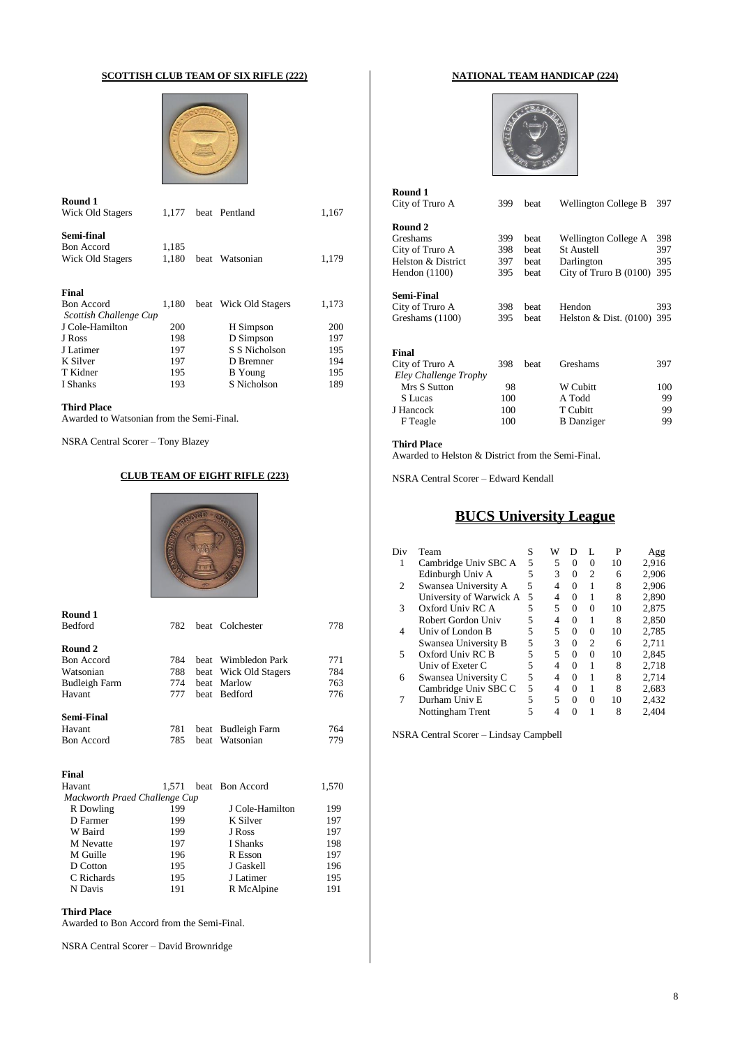## **SCOTTISH CLUB TEAM OF SIX RIFLE (222)**



| Round 1                    |       |                       |       |
|----------------------------|-------|-----------------------|-------|
| Wick Old Stagers           | 1.177 | beat Pentland         | 1,167 |
| Semi-final                 |       |                       |       |
| <b>Bon</b> Accord          | 1.185 |                       |       |
| Wick Old Stagers           | 1.180 | beat Watsonian        | 1,179 |
| Final<br><b>Bon Accord</b> | 1.180 | beat Wick Old Stagers | 1,173 |
| Scottish Challenge Cup     |       |                       |       |
| J Cole-Hamilton            | 200   | H Simpson             | 200   |
| J Ross                     | 198   | D Simpson             | 197   |
| J Latimer                  | 197   | S S Nicholson         | 195   |
| K Silver                   | 197   | D Bremner             | 194   |
| T Kidner                   | 195   | <b>B</b> Young        | 195   |
| I Shanks                   | 193   | S Nicholson           | 189   |
|                            |       |                       |       |

## **Third Place**

Awarded to Watsonian from the Semi-Final.

NSRA Central Scorer – Tony Blazey

## **CLUB TEAM OF EIGHT RIFLE (223)**



| 782 |            |                               | 778                                                                                                                                                                                |
|-----|------------|-------------------------------|------------------------------------------------------------------------------------------------------------------------------------------------------------------------------------|
|     |            |                               |                                                                                                                                                                                    |
|     |            |                               |                                                                                                                                                                                    |
|     |            |                               | 771                                                                                                                                                                                |
| 788 |            |                               | 784                                                                                                                                                                                |
| 774 |            |                               | 763                                                                                                                                                                                |
| 777 |            |                               | 776                                                                                                                                                                                |
|     |            |                               |                                                                                                                                                                                    |
| 781 |            |                               | 764                                                                                                                                                                                |
| 785 |            |                               | 779                                                                                                                                                                                |
|     |            |                               |                                                                                                                                                                                    |
|     |            |                               | 1,570                                                                                                                                                                              |
|     |            |                               |                                                                                                                                                                                    |
|     |            |                               | 199                                                                                                                                                                                |
|     | 784<br>199 | Mackworth Praed Challenge Cup | beat Colchester<br>beat Wimbledon Park<br>beat Wick Old Stagers<br>beat Marlow<br>beat Bedford<br>beat Budleigh Farm<br>beat Watsonian<br>1,571 beat Bon Accord<br>J Cole-Hamilton |

| D Farmer         | 199 | K Silver   | 197 |
|------------------|-----|------------|-----|
| W Baird          | 199 | J Ross     | 197 |
| <b>M</b> Nevatte | 197 | I Shanks   | 198 |
| M Guille         | 196 | R Esson    | 197 |
| D Cotton         | 195 | J Gaskell  | 196 |
| C Richards       | 195 | J Latimer  | 195 |
| N Davis          | 191 | R McAlpine | 191 |

## **Third Place**

Awarded to Bon Accord from the Semi-Final.

NSRA Central Scorer – David Brownridge

## **NATIONAL TEAM HANDICAP (224)**



| Round 1            |     |      |                             |     |
|--------------------|-----|------|-----------------------------|-----|
| City of Truro A    | 399 | beat | <b>Wellington College B</b> | 397 |
| Round 2            |     |      |                             |     |
| Greshams           | 399 | beat | Wellington College A        | 398 |
| City of Truro A    | 398 | beat | <b>St Austell</b>           | 397 |
| Helston & District | 397 | beat | Darlington                  | 395 |
| Hendon $(1100)$    | 395 | beat | City of Truro B $(0100)$    | 395 |
| <b>Semi-Final</b>  |     |      |                             |     |
| City of Truro A    | 398 | beat | Hendon                      | 393 |
| Greshams (1100)    | 395 | beat | Helston $& Dist. (0100)$    | 395 |
| Final              |     |      |                             |     |
| City of Truro A    | 398 | beat | Greshams                    | 397 |

| Eley Challenge Trophy |     |                   |     |
|-----------------------|-----|-------------------|-----|
| Mrs S Sutton          | 98  | W Cubitt          | 100 |
| S Lucas               | 100 | A Todd            | 99  |
| J Hancock             | 100 | T Cubitt          | 99  |
| F Teagle              | 100 | <b>B</b> Danziger | 99  |

## **Third Place**

Awarded to Helston & District from the Semi-Final.

NSRA Central Scorer – Edward Kendall

## **BUCS University League**

| Div | Team                    | S | W | Ð        | L              | P  | Agg   |
|-----|-------------------------|---|---|----------|----------------|----|-------|
| 1   | Cambridge Univ SBC A    | 5 | 5 | 0        | $\Omega$       | 10 | 2,916 |
|     | Edinburgh Univ A        | 5 | 3 | $\Omega$ | $\mathfrak{D}$ | 6  | 2,906 |
| 2   | Swansea University A    | 5 | 4 | 0        | 1              | 8  | 2.906 |
|     | University of Warwick A | 5 | 4 | $\Omega$ | 1              | 8  | 2,890 |
| 3   | Oxford Univ RC A        | 5 | 5 | $\Omega$ | 0              | 10 | 2,875 |
|     | Robert Gordon Univ      | 5 | 4 | 0        | 1              | 8  | 2.850 |
| 4   | Univ of London B        | 5 | 5 | $^{O}$   | 0              | 10 | 2,785 |
|     | Swansea University B    | 5 | 3 | 0        | $\overline{c}$ | 6  | 2.711 |
| 5   | Oxford Univ RC B        | 5 | 5 | 0        | 0              | 10 | 2.845 |
|     | Univ of Exeter C        | 5 | 4 | 0        | 1              | 8  | 2,718 |
| 6   | Swansea University C    | 5 | 4 | $\Omega$ | 1              | 8  | 2,714 |
|     | Cambridge Univ SBC C    | 5 | 4 | $\Omega$ | 1              | 8  | 2,683 |
| 7   | Durham Univ E           | 5 | 5 | 0        | 0              | 10 | 2,432 |
|     | Nottingham Trent        | 5 |   | Ω        | 1              | 8  | 2.404 |
|     |                         |   |   |          |                |    |       |

NSRA Central Scorer – Lindsay Campbell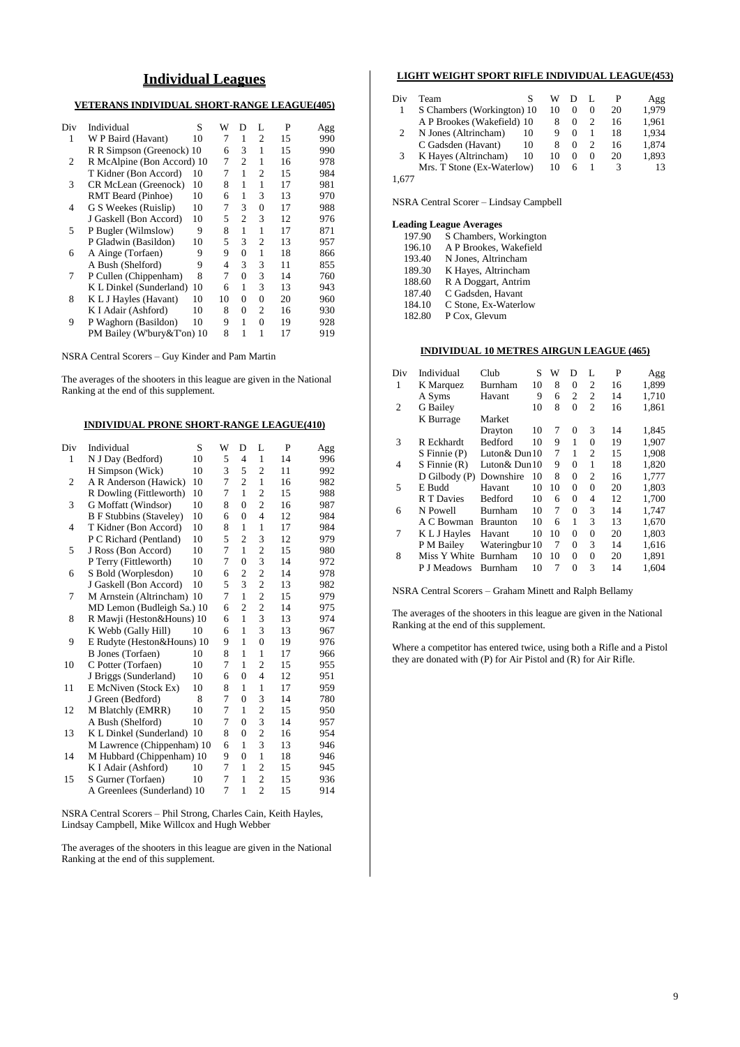## **Individual Leagues**

## **VETERANS INDIVIDUAL SHORT-RANGE LEAGUE(405)**

| Div | Individual                 | S  | W              | D              | L              | P  | Agg |
|-----|----------------------------|----|----------------|----------------|----------------|----|-----|
| 1   | W P Baird (Havant)         | 10 | 7              | 1              | $\overline{c}$ | 15 | 990 |
|     | R R Simpson (Greenock) 10  |    | 6              | 3              | 1              | 15 | 990 |
| 2   | R McAlpine (Bon Accord) 10 |    | 7              | $\overline{c}$ | 1              | 16 | 978 |
|     | T Kidner (Bon Accord)      | 10 | 7              | 1              | $\overline{c}$ | 15 | 984 |
| 3   | CR McLean (Greenock)       | 10 | 8              | 1              | 1              | 17 | 981 |
|     | RMT Beard (Pinhoe)         | 10 | 6              | 1              | 3              | 13 | 970 |
| 4   | G S Weekes (Ruislip)       | 10 | 7              | 3              | $\theta$       | 17 | 988 |
|     | J Gaskell (Bon Accord)     | 10 | 5              | 2              | 3              | 12 | 976 |
| 5   | P Bugler (Wilmslow)        | 9  | 8              | 1              | 1              | 17 | 871 |
|     | P Gladwin (Basildon)       | 10 | 5              | 3              | $\overline{c}$ | 13 | 957 |
| 6   | A Ainge (Torfaen)          | 9  | 9              | $\theta$       | 1              | 18 | 866 |
|     | A Bush (Shelford)          | 9  | $\overline{4}$ | 3              | 3              | 11 | 855 |
| 7   | P Cullen (Chippenham)      | 8  | 7              | $\theta$       | 3              | 14 | 760 |
|     | K L Dinkel (Sunderland)    | 10 | 6              | 1              | 3              | 13 | 943 |
| 8   | K L J Hayles (Havant)      | 10 | 10             | 0              | $\Omega$       | 20 | 960 |
|     | K I Adair (Ashford)        | 10 | 8              | $\Omega$       | $\overline{c}$ | 16 | 930 |
| 9   | P Waghorn (Basildon)       | 10 | 9              | 1              | $\Omega$       | 19 | 928 |
|     | PM Bailey (W'bury&T'on) 10 |    | 8              | 1              | 1              | 17 | 919 |
|     |                            |    |                |                |                |    |     |

NSRA Central Scorers – Guy Kinder and Pam Martin

The averages of the shooters in this league are given in the National Ranking at the end of this supplement.

## **INDIVIDUAL PRONE SHORT-RANGE LEAGUE(410)**

| Div            | Individual                     | S  | W | D              | L              | P  | Agg |
|----------------|--------------------------------|----|---|----------------|----------------|----|-----|
| 1              | N J Day (Bedford)              | 10 | 5 | 4              | 1              | 14 | 996 |
|                | H Simpson (Wick)               | 10 | 3 | 5              | $\overline{c}$ | 11 | 992 |
| $\overline{2}$ | A R Anderson (Hawick)          | 10 | 7 | $\overline{c}$ | $\mathbf{1}$   | 16 | 982 |
|                | R Dowling (Fittleworth)        | 10 | 7 | $\mathbf{1}$   | $\overline{2}$ | 15 | 988 |
| 3              | G Moffatt (Windsor)            | 10 | 8 | $\overline{0}$ | $\overline{c}$ | 16 | 987 |
|                | <b>B</b> F Stubbins (Staveley) | 10 | 6 | $\overline{0}$ | $\overline{4}$ | 12 | 984 |
| 4              | T Kidner (Bon Accord)          | 10 | 8 | 1              | $\mathbf{1}$   | 17 | 984 |
|                | P C Richard (Pentland)         | 10 | 5 | $\overline{2}$ | 3              | 12 | 979 |
| 5              | J Ross (Bon Accord)            | 10 | 7 | $\mathbf{1}$   | $\overline{c}$ | 15 | 980 |
|                | P Terry (Fittleworth)          | 10 | 7 | $\overline{0}$ | 3              | 14 | 972 |
| 6              | S Bold (Worplesdon)            | 10 | 6 | $\overline{c}$ | $\overline{c}$ | 14 | 978 |
|                | J Gaskell (Bon Accord)         | 10 | 5 | 3              | $\overline{c}$ | 13 | 982 |
| 7              | M Arnstein (Altrincham) 10     |    | 7 | $\mathbf{1}$   | $\overline{2}$ | 15 | 979 |
|                | MD Lemon (Budleigh Sa.) 10     |    | 6 | $\overline{2}$ | $\overline{c}$ | 14 | 975 |
| 8              | R Mawji (Heston&Houns) 10      |    | 6 | $\mathbf{1}$   | 3              | 13 | 974 |
|                | K Webb (Gally Hill)            | 10 | 6 | 1              | 3              | 13 | 967 |
| 9              | E Rudyte (Heston&Houns) 10     |    | 9 | 1              | $\overline{0}$ | 19 | 976 |
|                | B Jones (Torfaen)              | 10 | 8 | 1              | $\mathbf{1}$   | 17 | 966 |
| 10             | C Potter (Torfaen)             | 10 | 7 | 1              | $\overline{2}$ | 15 | 955 |
|                | J Briggs (Sunderland)          | 10 | 6 | $\theta$       | $\overline{4}$ | 12 | 951 |
| 11             | E McNiven (Stock Ex)           | 10 | 8 | 1              | 1              | 17 | 959 |
|                | J Green (Bedford)              | 8  | 7 | $\theta$       | 3              | 14 | 780 |
| 12             | M Blatchly (EMRR)              | 10 | 7 | 1              | $\overline{2}$ | 15 | 950 |
|                | A Bush (Shelford)              | 10 | 7 | $\overline{0}$ | 3              | 14 | 957 |
| 13             | K L Dinkel (Sunderland) 10     |    | 8 | $\theta$       | $\overline{c}$ | 16 | 954 |
|                | M Lawrence (Chippenham) 10     |    | 6 | 1              | 3              | 13 | 946 |
| 14             | M Hubbard (Chippenham) 10      |    | 9 | $\overline{0}$ | $\mathbf{1}$   | 18 | 946 |
|                | K I Adair (Ashford)            | 10 | 7 | 1              | $\overline{c}$ | 15 | 945 |
| 15             | S Gurner (Torfaen)             | 10 | 7 | 1              | $\mathfrak{2}$ | 15 | 936 |
|                | A Greenlees (Sunderland) 10    |    | 7 | 1              | $\overline{c}$ | 15 | 914 |
|                |                                |    |   |                |                |    |     |

NSRA Central Scorers – Phil Strong, Charles Cain, Keith Hayles, Lindsay Campbell, Mike Willcox and Hugh Webber

The averages of the shooters in this league are given in the National Ranking at the end of this supplement.

## **LIGHT WEIGHT SPORT RIFLE INDIVIDUAL LEAGUE(453)**

| Div   | Team                       |    | w  |          |          | P  | Agg   |
|-------|----------------------------|----|----|----------|----------|----|-------|
|       | S Chambers (Workington) 10 |    | 10 | $\Omega$ | $\Omega$ | 20 | 1.979 |
|       | A P Brookes (Wakefield) 10 |    | 8  | $\Omega$ |          | 16 | 1.961 |
|       | N Jones (Altrincham)       | 10 | 9  | $\theta$ |          | 18 | 1.934 |
|       | C Gadsden (Havant)         | 10 | 8  | $\Omega$ |          | 16 | 1.874 |
| 3     | K Hayes (Altrincham)       | 10 | 10 | $\theta$ | $\Omega$ | 20 | 1,893 |
|       | Mrs. T Stone (Ex-Waterlow) |    | 10 | 6        |          | 3  | 13    |
| 1.677 |                            |    |    |          |          |    |       |

NSRA Central Scorer – Lindsay Campbell

#### **Leading League Averages**

| 197.90 | S Chambers, Workington |
|--------|------------------------|
| 196.10 | A P Brookes, Wakefield |
| 193.40 | N Jones, Altrincham    |
| 189.30 | K Hayes, Altrincham    |
| 188.60 | R A Doggart, Antrim    |
| 187.40 | C Gadsden, Havant      |
| 184.10 | C Stone, Ex-Waterlow   |
| 182.80 | P Cox, Glevum          |
|        |                        |

### **INDIVIDUAL 10 METRES AIRGUN LEAGUE (465)**

| Div | Individual       | Club            | S  | W  | D        | L              | P  | Agg   |
|-----|------------------|-----------------|----|----|----------|----------------|----|-------|
| 1   | K Marquez        | Burnham         | 10 | 8  | 0        | 2              | 16 | 1,899 |
|     | A Syms           | Havant          | 9  | 6  | 2        | 2              | 14 | 1,710 |
| 2   | <b>G</b> Bailey  |                 | 10 | 8  | $\Omega$ | $\overline{c}$ | 16 | 1,861 |
|     | K Burrage        | Market          |    |    |          |                |    |       |
|     |                  | Drayton         | 10 | 7  | 0        | 3              | 14 | 1,845 |
| 3   | R Eckhardt       | <b>Bedford</b>  | 10 | 9  | 1        | $\Omega$       | 19 | 1,907 |
|     | $S$ Finnie $(P)$ | Luton& Dun10    |    | 7  | 1        | 2              | 15 | 1,908 |
| 4   | $S$ Finnie $(R)$ | Luton& Dun10    |    | 9  | $\Omega$ | 1              | 18 | 1,820 |
|     | D Gilbody (P)    | Downshire       | 10 | 8  | $\Omega$ | 2              | 16 | 1,777 |
| 5   | E Budd           | Havant          | 10 | 10 | $\Omega$ | $\overline{0}$ | 20 | 1,803 |
|     | R T Davies       | Bedford         | 10 | 6  | $\Omega$ | 4              | 12 | 1,700 |
| 6   | N Powell         | Burnham         | 10 | 7  | $\Omega$ | 3              | 14 | 1,747 |
|     | A C Bowman       | <b>Braunton</b> | 10 | 6  | 1        | 3              | 13 | 1,670 |
| 7   | K L J Hayles     | Havant          | 10 | 10 | $\Omega$ | $\overline{0}$ | 20 | 1,803 |
|     | P M Bailey       | Wateringbur 10  |    | 7  | $\Omega$ | 3              | 14 | 1,616 |
| 8   | Miss Y White     | Burnham         | 10 | 10 | $\Omega$ | $\overline{0}$ | 20 | 1,891 |
|     | P J Meadows      | Burnham         | 10 | 7  | 0        | 3              | 14 | 1,604 |

NSRA Central Scorers – Graham Minett and Ralph Bellamy

The averages of the shooters in this league are given in the National Ranking at the end of this supplement.

Where a competitor has entered twice, using both a Rifle and a Pistol they are donated with (P) for Air Pistol and (R) for Air Rifle.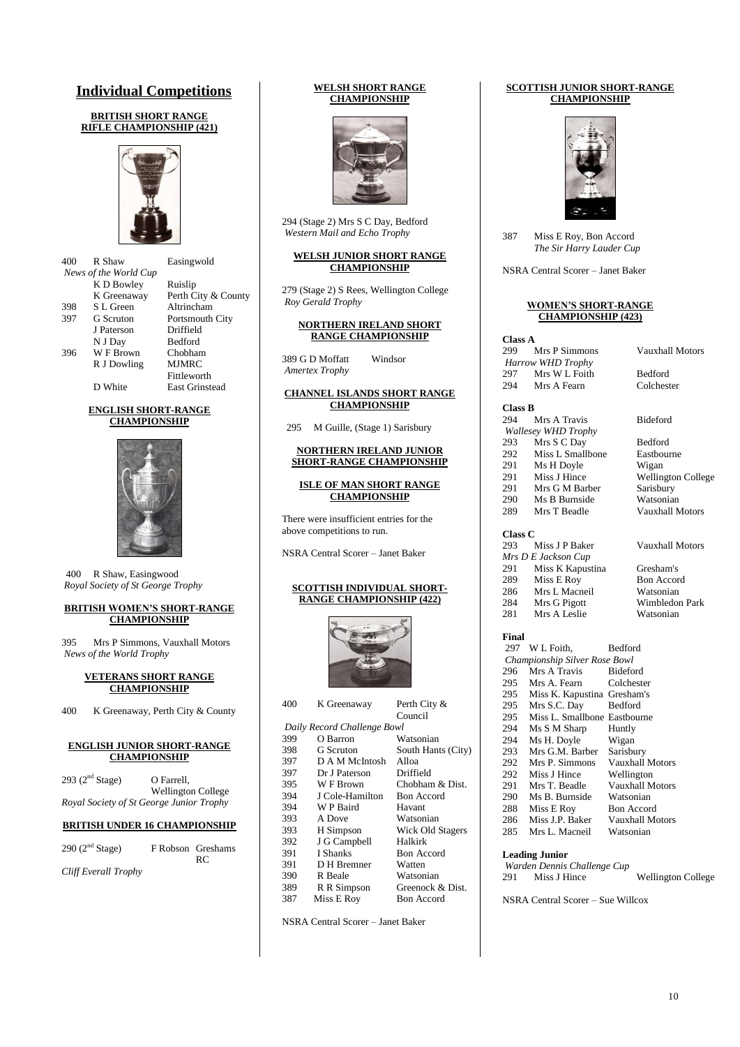## **Individual Competitions**

### **BRITISH SHORT RANGE RIFLE CHAMPIONSHIP (421)**



| 400 | R Shaw                | Easingwold            |
|-----|-----------------------|-----------------------|
|     | News of the World Cup |                       |
|     | K D Bowley            | Ruislip               |
|     | K Greenaway           | Perth City & County   |
| 398 | S L Green             | Altrincham            |
| 397 | <b>G</b> Scruton      | Portsmouth City       |
|     | J Paterson            | Driffield             |
|     | N J Day               | <b>Bedford</b>        |
| 396 | W F Brown             | Chobham               |
|     | R J Dowling           | <b>MJMRC</b>          |
|     |                       | Fittleworth           |
|     | D White               | <b>East Grinstead</b> |

#### **ENGLISH SHORT-RANGE CHAMPIONSHIP**



400 R Shaw, Easingwood *Royal Society of St George Trophy*

#### **BRITISH WOMEN'S SHORT-RANGE CHAMPIONSHIP**

395 Mrs P Simmons, Vauxhall Motors *News of the World Trophy*

#### **VETERANS SHORT RANGE CHAMPIONSHIP**

400 K Greenaway, Perth City & County

#### **ENGLISH JUNIOR SHORT-RANGE CHAMPIONSHIP**

| 293 $(2^{nd}$ Stage) | O Farrell.                               |
|----------------------|------------------------------------------|
|                      | Wellington College                       |
|                      | Royal Society of St George Junior Trophy |

## **BRITISH UNDER 16 CHAMPIONSHIP**

| 290 $(2nd Stage)$    | F Robson Greshams<br>RC. |
|----------------------|--------------------------|
| Cliff Everall Trophy |                          |

#### **WELSH SHORT RANGE CHAMPIONSHIP**



294 (Stage 2) Mrs S C Day, Bedford *Western Mail and Echo Trophy*

#### **WELSH JUNIOR SHORT RANGE CHAMPIONSHIP**

279 (Stage 2) S Rees, Wellington College *Roy Gerald Trophy*

#### **NORTHERN IRELAND SHORT RANGE CHAMPIONSHIP**

389 G D Moffatt Windsor *Amertex Trophy*

#### **CHANNEL ISLANDS SHORT RANGE CHAMPIONSHIP**

295 M Guille, (Stage 1) Sarisbury

#### **NORTHERN IRELAND JUNIOR SHORT-RANGE CHAMPIONSHIP**

#### **ISLE OF MAN SHORT RANGE CHAMPIONSHIP**

There were insufficient entries for the above competitions to run.

NSRA Central Scorer – Janet Baker

#### **SCOTTISH INDIVIDUAL SHORT-RANGE CHAMPIONSHIP (422)**



| K Greenaway     | Perth City &                |
|-----------------|-----------------------------|
|                 | Council                     |
|                 |                             |
| O Barron        | Watsonian                   |
| G Scruton       | South Hants (City)          |
| D A M McIntosh  | Alloa                       |
| Dr J Paterson   | Driffield                   |
| W F Brown       | Chobham & Dist.             |
| J Cole-Hamilton | <b>Bon</b> Accord           |
| W P Baird       | Havant                      |
| A Dove          | Watsonian                   |
| H Simpson       | Wick Old Stagers            |
| J G Campbell    | Halkirk                     |
| I Shanks        | <b>Bon</b> Accord           |
| D H Bremner     | Watten                      |
| R Beale         | Watsonian                   |
| R R Simpson     | Greenock & Dist.            |
| Miss E Roy      | <b>Bon Accord</b>           |
|                 | Daily Record Challenge Bowl |

NSRA Central Scorer – Janet Baker

### **SCOTTISH JUNIOR SHORT-RANGE CHAMPIONSHIP**



387 Miss E Roy, Bon Accord *The Sir Harry Lauder Cup*

NSRA Central Scorer – Janet Baker

#### **WOMEN'S SHORT-RANGE CHAMPIONSHIP (423)**

| Class A |                          |
|---------|--------------------------|
| 299     | Mrs P Simmons            |
|         | <b>Harrow WHD Trophy</b> |
| 297     | Mrs W L Foith            |
| 294     | Mrs A Fearn              |

Vauxhall Motors

Bedford Colchester

| <b>Class B</b> |                            |                           |
|----------------|----------------------------|---------------------------|
| 294            | Mrs A Travis               | <b>Bideford</b>           |
|                | <b>Wallesey WHD Trophy</b> |                           |
| 293            | Mrs S C Day                | <b>Bedford</b>            |
| 292            | Miss L Smallbone           | Eastbourne                |
| 291            | Ms H Doyle                 | Wigan                     |
| 291            | Miss J Hince               | <b>Wellington College</b> |
| 291            | Mrs G M Barber             | Sarisbury                 |
| 290            | Ms B Burnside              | Watsonian                 |
| 289            | Mrs T Beadle               | Vauxhall Motors           |
|                |                            |                           |

| Class C |                     |
|---------|---------------------|
| 293     | Miss J P Baker      |
|         | Mrs D E Jackson Cup |
| 291     | Miss K Kapustina    |
| 289     | Miss E Roy          |
| 286     | Mrs L Macneil       |
| 284     | Mrs G Pigott        |
| 281     | Mrs A Leslie        |

## Vauxhall Motors

Gresham's Bon Accord Watsonian Wimbledon Park<br>Watsonian

**Final**

| 297 | W L Foith,                    | <b>Bedford</b>    |
|-----|-------------------------------|-------------------|
|     | Championship Silver Rose Bowl |                   |
| 296 | Mrs A Travis                  | Bideford          |
| 295 | Mrs A. Fearn                  | Colchester        |
| 295 | Miss K. Kapustina Gresham's   |                   |
| 295 | Mrs S.C. Day                  | Bedford           |
| 295 | Miss L. Smallbone Eastbourne  |                   |
| 294 | Ms S M Sharp                  | Huntly            |
| 294 | Ms H. Doyle                   | Wigan             |
| 293 | Mrs G.M. Barber               | Sarisbury         |
| 292 | Mrs P. Simmons                | Vauxhall Motors   |
| 292 | Miss J Hince                  | Wellington        |
| 291 | Mrs T. Beadle                 | Vauxhall Motors   |
| 290 | Ms B. Burnside                | Watsonian         |
| 288 | Miss E Roy                    | <b>Bon Accord</b> |
| 286 | Miss J.P. Baker               | Vauxhall Motors   |
| 285 | Mrs L. Macneil                | Watsonian         |
|     |                               |                   |
|     | Loading Lucian                |                   |

|     | <b>Leading Junior</b>       |                           |
|-----|-----------------------------|---------------------------|
|     | Warden Dennis Challenge Cup |                           |
| 291 | Miss J Hince                | <b>Wellington College</b> |

NSRA Central Scorer – Sue Willcox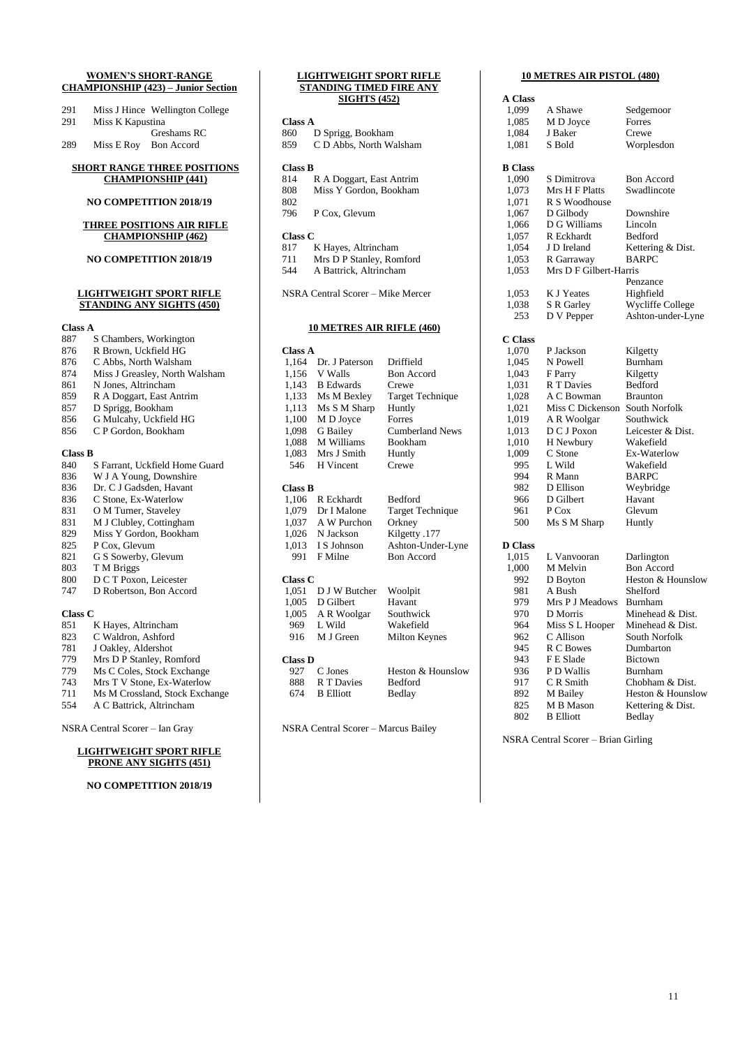#### **WOMEN'S SHORT-RANGE CHAMPIONSHIP (423) – Junior Section**

| 291 | Miss J Hince Wellington College |
|-----|---------------------------------|
| 291 | Miss K Kapustina                |
|     | Greshams RC                     |

289 Miss E Roy Bon Accord

### **SHORT RANGE THREE POSITIONS CHAMPIONSHIP (441)**

#### **NO COMPETITION 2018/19**

#### **THREE POSITIONS AIR RIFLE CHAMPIONSHIP (462)**

#### **NO COMPETITION 2018/19**

### **LIGHTWEIGHT SPORT RIFLE STANDING ANY SIGHTS (450)**

#### **Class A**

| 887            | S Chambers, Workington         |
|----------------|--------------------------------|
| 876            | R Brown, Uckfield HG           |
| 876            | C Abbs, North Walsham          |
| 874            | Miss J Greasley, North Walsham |
| 861            | N Jones, Altrincham            |
| 859            | R A Doggart, East Antrim       |
| 857            | D Sprigg, Bookham              |
| 856            | G Mulcahy, Uckfield HG         |
| 856            | C P Gordon, Bookham            |
|                |                                |
| <b>Class B</b> |                                |
| 840            | S Farrant, Uckfield Home Guard |
| 836            | W J A Young, Downshire         |
|                | .                              |

- 836 Dr. C J Gadsden, Havant<br>836 C Stone, Ex-Waterlow
- C Stone, Ex-Waterlow
- 831 O M Turner, Staveley
- 831 M J Clubley, Cottingham
- 829 Miss Y Gordon, Bookham<br>825 P Cox, Glevum
- P Cox, Glevum
- 821 G S Sowerby, Glevum
- 
- 803 T M Briggs<br>800 D C T Poxo 800 D C T Poxon, Leicester<br>747 D Robertson, Bon Acco
- D Robertson, Bon Accord

## **Class C**<br>851

- K Hayes, Altrincham 823 C Waldron, Ashford 781 J Oakley, Aldershot<br>779 Mrs D P Stanley, Ro
- 779 Mrs D P Stanley, Romford<br>779 Ms C Coles, Stock Exchang
- Ms C Coles, Stock Exchange
- 743 Mrs T V Stone, Ex-Waterlow
- 711 Ms M Crossland, Stock Exchange<br>554 A C Battrick, Altrincham 554 A C Battrick, Altrincham

NSRA Central Scorer – Ian Gray

### **LIGHTWEIGHT SPORT RIFLE PRONE ANY SIGHTS (451)**

## **NO COMPETITION 2018/19**

|                | <b>STANDING TIMED FIRE ANY</b>    |                         |
|----------------|-----------------------------------|-------------------------|
|                | <b>SIGHTS (452)</b>               |                         |
| Class A        |                                   |                         |
| 860            | D Sprigg, Bookham                 |                         |
| 859            | C D Abbs, North Walsham           |                         |
|                |                                   |                         |
| <b>Class B</b> |                                   |                         |
| 814            | R A Doggart, East Antrim          |                         |
| 808            | Miss Y Gordon, Bookham            |                         |
| 802            |                                   |                         |
| 796            | P Cox, Glevum                     |                         |
| <b>Class C</b> |                                   |                         |
| 817            | K Hayes, Altrincham               |                         |
| 711            | Mrs D P Stanley, Romford          |                         |
| 544            | A Battrick, Altrincham            |                         |
|                |                                   |                         |
|                | NSRA Central Scorer - Mike Mercer |                         |
|                |                                   |                         |
|                |                                   |                         |
|                | <b>10 METRES AIR RIFLE (460)</b>  |                         |
| <b>Class A</b> |                                   |                         |
| 1,164          | Dr. J Paterson                    | Driffield               |
| 1,156          | V Walls                           | <b>Bon Accord</b>       |
| 1,143          | <b>B</b> Edwards                  | Crewe                   |
| 1,133          | Ms M Bexley                       | <b>Target Technique</b> |
| 1,113          | Ms S M Sharp                      | Huntly                  |
| 1,100          | M D Joyce                         | Forres                  |
| 1,098          | G Bailey                          | <b>Cumberland News</b>  |
| 1,088          | M Williams                        | Bookham                 |
| 1,083          | Mrs J Smith                       | Huntly                  |
| 546            | <b>H</b> Vincent                  | Crewe                   |
|                |                                   |                         |
| <b>Class B</b> |                                   |                         |
| 1,106          | R Eckhardt                        | Bedford                 |
| 1,079          | Dr I Malone                       | Target Technique        |
| 1,037          | A W Purchon                       | Orkney                  |
| 1,026          | N Jackson                         | Kilgetty .177           |
| 1,013          | I S Johnson                       | Ashton-Under-Lyne       |
| 991            | F Milne                           | <b>Bon Accord</b>       |
| <b>Class C</b> |                                   |                         |
| 1,051          | D J W Butcher                     | Woolpit                 |
| 1,005          | D Gilbert                         | Havant                  |
|                |                                   |                         |

**LIGHTWEIGHT SPORT RIFLE** 

Class **D**<br>927 C Jones 888 R T Davies Bedford 674 B Elliott Bedlay

916 M J Green

Wakefield<br>Milton Keynes Heston & Hounslow

NSRA Central Scorer – Marcus Bailey

1,005 A R Woolgar Southwick<br>969 L Wild Wakefield

## **10 METRES AIR PISTOL (480)**

| A Class        |                              |                                   |
|----------------|------------------------------|-----------------------------------|
| 1,099          | A Shawe                      | Sedgemoor                         |
| 1,085          | M D Joyce                    | Forres                            |
| 1,084          | J Baker                      | Crewe                             |
| 1,081          | S Bold                       | Worplesdon                        |
|                |                              |                                   |
| <b>B</b> Class |                              |                                   |
| 1,090          | S Dimitrova                  | <b>Bon Accord</b>                 |
| 1,073          | Mrs H F Platts               | Swadlincote                       |
| 1,071          | R S Woodhouse                |                                   |
| 1,067          | D Gilbody                    | Downshire                         |
| 1,066          | D G Williams                 | Lincoln                           |
| 1,057          | R Eckhardt                   | Bedford                           |
| 1,054          | J D Ireland                  | Kettering & Dist.                 |
| 1,053          | R Garraway                   | <b>BARPC</b>                      |
| 1,053          | Mrs D F Gilbert-Harris       |                                   |
|                |                              | Penzance                          |
| 1,053          | K J Yeates                   | Highfield                         |
| 1,038          | S R Garley                   | Wycliffe College                  |
| 253            | D V Pepper                   | Ashton-under-Lyne                 |
|                |                              |                                   |
| C Class        |                              |                                   |
| 1,070          | P Jackson                    | Kilgetty                          |
| 1,045          | N Powell                     | Burnham                           |
| 1,043          | F Parry                      | Kilgetty                          |
| 1,031          | R T Davies                   | Bedford                           |
| 1,028          | A C Bowman                   | <b>Braunton</b>                   |
| 1,021          | Miss C Dickenson             | South Norfolk                     |
| 1,019          | A R Woolgar                  | Southwick                         |
| 1,013          | D C J Poxon                  | Leicester & Dist.                 |
| 1,010          | H Newbury                    | Wakefield                         |
| 1,009          | C Stone                      | Ex-Waterlow                       |
| 995            | L Wild                       | Wakefield                         |
| 994            | R Mann                       | <b>BARPC</b>                      |
| 982            | D Ellison                    | Weybridge                         |
| 966            | D Gilbert                    | Havant                            |
| 961            | P Cox                        | Glevum                            |
| 500            | Ms S M Sharp                 | Huntly                            |
| <b>D</b> Class |                              |                                   |
| 1,015          | L Vanvooran                  |                                   |
| 1,000          | M Melvin                     | Darlington<br><b>Bon Accord</b>   |
|                |                              | Heston & Hounslow                 |
| 992<br>981     | D Boyton<br>A Bush           | Shelford                          |
| 979            | Mrs P J Meadows              | Burnham                           |
| 970            | D Morris                     | Minehead & Dist.                  |
|                |                              |                                   |
| 964<br>962     | Miss S L Hooper<br>C Allison | Minehead & Dist.<br>South Norfolk |
| 945            | R C Bowes                    | Dumbarton                         |
|                | F E Slade                    |                                   |
| 943<br>936     | P D Wallis                   | Bictown<br>Burnham                |
| 917            | CR Smith                     | Chobham & Dist.                   |
| 892            |                              | Heston & Hounslow                 |
| 825            | M Bailey<br>M B Mason        | Kettering & Dist.                 |
| 802            | R Elliott                    | Redlav                            |
|                |                              |                                   |

NSRA Central Scorer – Brian Girling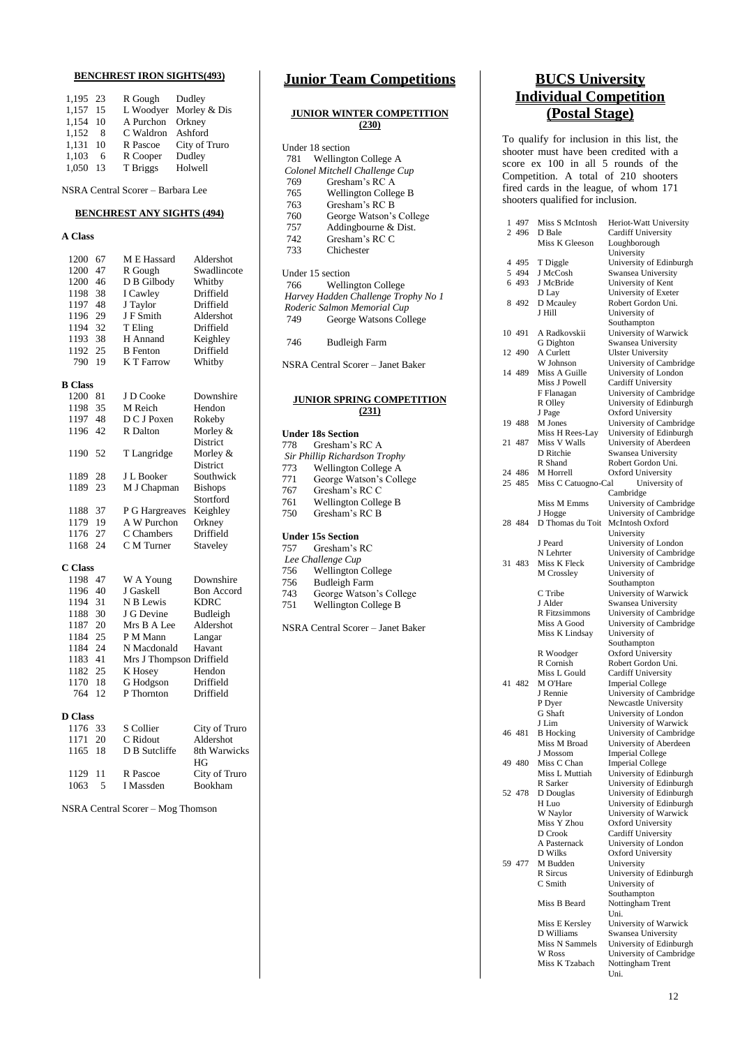## **BENCHREST IRON SIGHTS(493)**

| 1,195 23 |     | R Gough           | Dudley                 |
|----------|-----|-------------------|------------------------|
| 1.157 15 |     |                   | L Woodyer Morley & Dis |
| 1.154 10 |     | A Purchon Orkney  |                        |
| 1.152    | 8   | C Waldron Ashford |                        |
| 1.131 10 |     | R Pascoe          | City of Truro          |
| 1,103    | 6   | R Cooper          | Dudley                 |
| 1.050    | -13 | T Briggs          | Holwell                |

NSRA Central Scorer – Barbara Lee

### **BENCHREST ANY SIGHTS (494)**

### **A Class**

| 1200           | 67 | M E Hassard              | Aldershot         |
|----------------|----|--------------------------|-------------------|
| 1200           | 47 | R Gough                  | Swadlincote       |
| 1200           | 46 | D B Gilbody              | Whitby            |
| 1198           | 38 | I Cawley                 | Driffield         |
| 1197           | 48 | J Taylor                 | Driffield         |
| 1196           | 29 | J F Smith                | Aldershot         |
| 1194           | 32 | T Eling                  | Driffield         |
| 1193           | 38 | H Annand                 | Keighley          |
| 1192           | 25 | <b>B</b> Fenton          | Driffield         |
| 790            | 19 | K T Farrow               | Whitby            |
|                |    |                          |                   |
| <b>B</b> Class |    |                          |                   |
| 1200           | 81 | J D Cooke                | Downshire         |
| 1198           | 35 | M Reich                  | Hendon            |
| 1197           | 48 | D C J Poxen              | Rokeby            |
| 1196           | 42 | R Dalton                 | Morley &          |
|                |    |                          | District          |
| 1190           | 52 | T Langridge              | Morley &          |
|                |    |                          | <b>District</b>   |
| 1189           | 28 | J L Booker               | Southwick         |
| 1189           | 23 | M J Chapman              | <b>Bishops</b>    |
|                |    |                          | Stortford         |
| 1188           | 37 | P G Hargreaves           | Keighley          |
| 1179           | 19 | A W Purchon              | Orkney            |
| 1176           | 27 | C Chambers               | Driffield         |
| 1168           | 24 | C M Turner               | Staveley          |
|                |    |                          |                   |
| C Class        |    |                          |                   |
| 1198           | 47 | W A Young                | Downshire         |
| 1196           | 40 | J Gaskell                | <b>Bon Accord</b> |
| 1194           | 31 | N B Lewis                | <b>KDRC</b>       |
| 1188           | 30 | J G Devine               | Budleigh          |
| 1187           | 20 | Mrs B A Lee              | Aldershot         |
| 1184           | 25 | P M Mann                 | Langar            |
| 1184           | 24 | N Macdonald              | Havant            |
| 1183           | 41 | Mrs J Thompson Driffield |                   |
| 1182           | 25 | K Hosey                  | Hendon            |
| 1170           | 18 | G Hodgson                | Driffield         |
| 764            | 12 | P Thornton               | Driffield         |
|                |    |                          |                   |
| <b>D</b> Class |    |                          |                   |
| 1176           | 33 | S Collier                | City of Truro     |
| 1171           | 20 | C Ridout                 | Aldershot         |
| 1165           | 18 | D B Sutcliffe            | 8th Warwicks      |

I Massden NSRA Central Scorer – Mog Thomson

1129 11 R Pascoe City of Truro<br>1063 5 I Massden Bookham

HG

## **Junior Team Competitions**

### **JUNIOR WINTER COMPETITION (230)**

|     | Under 18 section                    |
|-----|-------------------------------------|
| 781 | Wellington College A                |
|     | Colonel Mitchell Challenge Cup      |
| 769 | Gresham's RC A                      |
| 765 | Wellington College B                |
| 763 | Gresham's RC B                      |
| 760 | George Watson's College             |
| 757 | Addingbourne & Dist.                |
| 742 | Gresham's RCC                       |
| 733 | Chichester                          |
|     | Under 15 section                    |
| 766 | <b>Wellington College</b>           |
|     | Harvey Hadden Challenge Trophy No 1 |
|     | Roderic Salmon Memorial Cup         |
| 749 | George Watsons College              |
| 746 | <b>Budleigh Farm</b>                |

NSRA Central Scorer – Janet Baker

#### **JUNIOR SPRING COMPETITION (231)**

| <b>Under 18s Section</b> |                               |  |  |  |
|--------------------------|-------------------------------|--|--|--|
| 778                      | Gresham's RC A                |  |  |  |
|                          | Sir Phillip Richardson Trophy |  |  |  |
| 773                      | Wellington College A          |  |  |  |
| 771                      | George Watson's College       |  |  |  |
| 767                      | Gresham's RC C                |  |  |  |
| 761                      | Wellington College B          |  |  |  |
| 750                      | Gresham's RC B                |  |  |  |
|                          | <b>Under 15s Section</b>      |  |  |  |
| 757                      | Gresham's RC                  |  |  |  |
|                          | Lee Challenge Cup             |  |  |  |
| 756                      | <b>Wellington College</b>     |  |  |  |
| 756                      | <b>Budleigh Farm</b>          |  |  |  |
| 743                      | George Watson's College       |  |  |  |

743 George Watson's College Wellington College B

NSRA Central Scorer – Janet Baker

## **BUCS University Individual Competition (Postal Stage)**

To qualify for inclusion in this list, the shooter must have been credited with a score ex 100 in all 5 rounds of the Competition. A total of 210 shooters fired cards in the league, of whom 171 shooters qualified for inclusion.

| 1 497   | Miss S McIntosh            | Heriot-Watt University                              |
|---------|----------------------------|-----------------------------------------------------|
| 2 496   | D Bale                     | <b>Cardiff University</b>                           |
|         | Miss K Gleeson             | Loughborough                                        |
| 4 4 9 5 | T Diggle                   | University<br>University of Edinburgh               |
| 5 4 9 4 | J McCosh                   | Swansea University                                  |
| 6 493   | J McBride                  | University of Kent                                  |
|         | D Lay                      | University of Exeter                                |
| 8492    | D Mcauley                  | Robert Gordon Uni.                                  |
|         | J Hill                     | University of                                       |
|         |                            | Southampton                                         |
| 10 491  | A Radkovskii               | University of Warwick                               |
| 12 490  | G Dighton<br>A Curlett     | Swansea University                                  |
|         | W Johnson                  | <b>Ulster University</b><br>University of Cambridge |
| 14 489  | Miss A Guille              | University of London                                |
|         | Miss J Powell              | <b>Cardiff University</b>                           |
|         | F Flanagan                 | University of Cambridge                             |
|         | R Olley                    | University of Edinburgh                             |
|         | J Page                     | Oxford University                                   |
| 19 488  | M Jones                    | University of Cambridge                             |
|         | Miss H Rees-Lay            | University of Edinburgh                             |
| 21 487  | Miss V Walls               | University of Aberdeen                              |
|         | D Ritchie                  | Swansea University                                  |
| 24 486  | R Shand<br>M Horrell       | Robert Gordon Uni.<br><b>Oxford University</b>      |
| 25 485  | Miss C Catuogno-Cal        | University of                                       |
|         |                            | Cambridge                                           |
|         | Miss M Emms                | University of Cambridge                             |
|         | J Hogge                    | University of Cambridge                             |
| 28 484  | D Thomas du Toit           | McIntosh Oxford                                     |
|         |                            | University                                          |
|         | J Peard                    | University of London                                |
|         | N Lehrter                  | University of Cambridge                             |
| 31 483  | Miss K Fleck               | University of Cambridge                             |
|         | M Crossley                 | University of<br>Southampton                        |
|         | C Tribe                    | University of Warwick                               |
|         | J Alder                    | Swansea University                                  |
|         | R Fitzsimmons              | University of Cambridge                             |
|         | Miss A Good                | University of Cambridge                             |
|         | Miss K Lindsay             | University of                                       |
|         |                            | Southampton                                         |
|         | R Woodger                  | <b>Oxford University</b>                            |
|         | R Cornish<br>Miss L Gould  | Robert Gordon Uni.                                  |
| 41 482  | M O'Hare                   | Cardiff University<br><b>Imperial College</b>       |
|         | J Rennie                   | University of Cambridge                             |
|         | P Dyer                     | Newcastle University                                |
|         | G Shaft                    | University of London                                |
|         | J Lim                      | University of Warwick                               |
| 46 481  | <b>B</b> Hocking           | University of Cambridge                             |
|         | Miss M Broad               | University of Aberdeen                              |
|         | J Mossom                   | <b>Imperial College</b>                             |
| 49480   | Miss C Chan                | <b>Imperial College</b>                             |
|         | Miss L Muttiah<br>R Sarker | University of Edinburgh<br>University of Edinburgh  |
| 52 478  | D Douglas                  | University of Edinburgh                             |
|         | H Luo                      | University of Edinburgh                             |
|         | W Naylor                   | University of Warwick                               |
|         | Miss Y Zhou                | Oxford University                                   |
|         | D Crook                    | Cardiff University                                  |
|         | A Pasternack               | University of London                                |
|         | D Wilks                    | <b>Oxford University</b>                            |
| 59 477  | M Budden                   | University                                          |
|         | R Sircus<br>C Smith        | University of Edinburgh                             |
|         |                            | University of<br>Southampton                        |
|         | Miss B Beard               | Nottingham Trent                                    |
|         |                            | Uni.                                                |
|         | Miss E Kersley             | University of Warwick                               |
|         | D Williams                 | Swansea University                                  |
|         | Miss N Sammels             | University of Edinburgh                             |
|         | W Ross                     | University of Cambridge                             |
|         | Miss K Tzabach             | Nottingham Trent                                    |
|         |                            | Uni.                                                |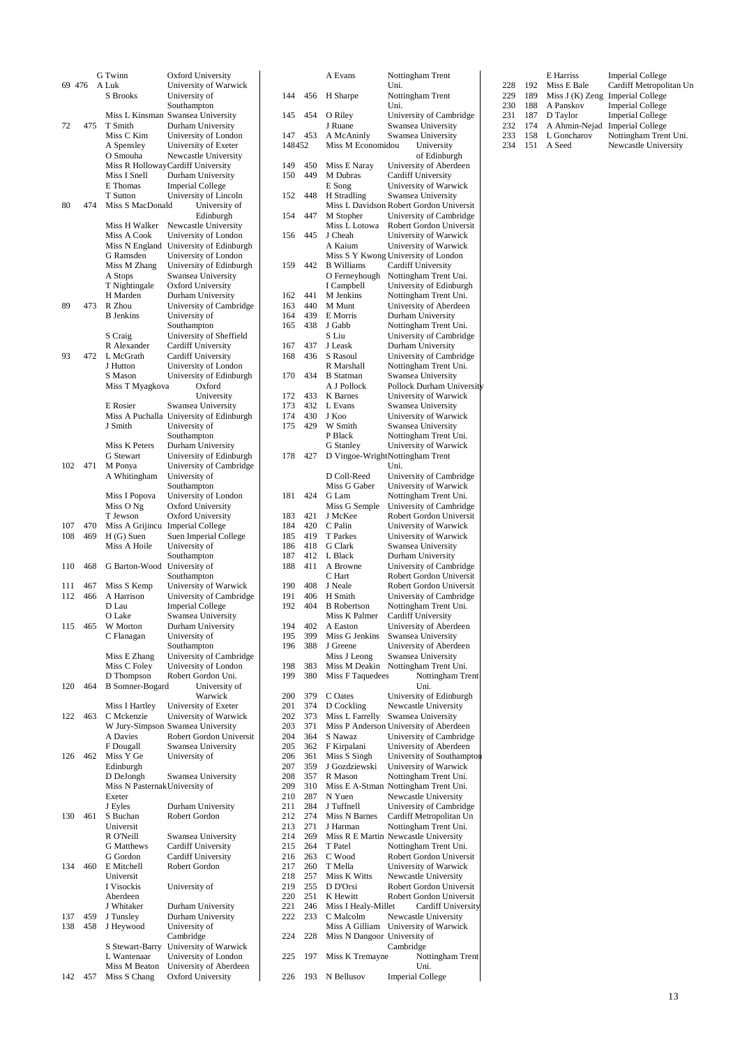|     |        | G Twinn                        | Oxford University                 |
|-----|--------|--------------------------------|-----------------------------------|
|     | 69 476 | A Luk                          | University of Warwick             |
|     |        | S Brooks                       | University of                     |
|     |        |                                | Southampton                       |
|     |        |                                | Miss L Kinsman Swansea University |
| 72  | 475    | T Smith                        | Durham University                 |
|     |        | Miss C Kim                     | University of London              |
|     |        | A Spensley                     | University of Exeter              |
|     |        | O Smouha                       | Newcastle University              |
|     |        |                                | Miss R HollowayCardiff University |
|     |        | Miss I Snell                   | Durham University                 |
|     |        | E Thomas                       | <b>Imperial College</b>           |
|     |        | T Sutton                       | University of Lincoln             |
| 80  | 474    | Miss S MacDonald               | University of                     |
|     |        |                                | Edinburgh                         |
|     |        | Miss H Walker                  | Newcastle University              |
|     |        | Miss A Cook                    | University of London              |
|     |        | Miss N England                 | University of Edinburgh           |
|     |        | G Ramsden                      | University of London              |
|     |        | Miss M Zhang                   | University of Edinburgh           |
|     |        | A Stops                        | Swansea University                |
|     |        | T Nightingale                  | Oxford University                 |
|     |        | H Marden                       | Durham University                 |
| 89  | 473    | R Zhou                         | University of Cambridge           |
|     |        | <b>B</b> Jenkins               | University of                     |
|     |        |                                | Southampton                       |
|     |        | S Craig                        | University of Sheffield           |
|     |        | R Alexander                    | <b>Cardiff University</b>         |
| 93  | 472    | L McGrath                      | <b>Cardiff University</b>         |
|     |        | J Hutton                       | University of London              |
|     |        | S Mason                        | University of Edinburgh           |
|     |        | Miss T Myagkova                | Oxford                            |
|     |        |                                | University                        |
|     |        | E Rosier                       | Swansea University                |
|     |        | Miss A Puchalla                | University of Edinburgh           |
|     |        | J Smith                        | University of                     |
|     |        |                                | Southampton                       |
|     |        | Miss K Peters                  | Durham University                 |
|     |        | G Stewart                      | University of Edinburgh           |
| 102 | 471    | M Ponya                        | University of Cambridge           |
|     |        | A Whitingham                   | University of                     |
|     |        |                                | Southampton                       |
|     |        | Miss I Popova                  | University of London              |
|     |        | Miss O Ng                      | Oxford University                 |
|     |        | T Jewson                       | <b>Oxford University</b>          |
| 107 | 470    | Miss A Grijincu                | <b>Imperial College</b>           |
| 108 | 469    | $H(G)$ Suen                    | Suen Imperial College             |
|     |        | Miss A Hoile                   | University of                     |
|     |        |                                | Southampton                       |
| 110 | 468    | G Barton-Wood                  | University of                     |
|     |        |                                | Southampton                       |
| 111 | 467    | Miss S Kemp                    | University of Warwick             |
| 112 | 466    | A Harrison                     | University of Cambridge           |
|     |        |                                | <b>Imperial College</b>           |
|     |        | D Lau                          |                                   |
|     |        | O Lake                         | Swansea University                |
| 115 | 465    | <b>W</b> Morton                | Durham University                 |
|     |        | C Flanagan                     | University of                     |
|     |        |                                | Southampton                       |
|     |        | Miss E Zhang                   | University of Cambridge           |
|     |        | Miss C Foley                   | University of London              |
|     |        | D Thompson                     | Robert Gordon Uni.                |
| 120 | 464    | <b>B</b> Somner-Bogard         | University of                     |
|     |        |                                | Warwick                           |
|     |        | Miss I Hartley                 | University of Exeter              |
| 122 | 463    | C Mckenzie                     | University of Warwick             |
|     |        |                                | W Jury-Simpson Swansea University |
|     |        | A Davies                       | Robert Gordon Universit           |
|     |        | F Dougall                      | Swansea University                |
| 126 | 462    | Miss Y Ge                      | University of                     |
|     |        | Edinburgh                      |                                   |
|     |        | D DeJongh                      | Swansea University                |
|     |        | Miss N Pasternak University of |                                   |
|     |        | Exeter                         |                                   |
|     |        | J Eyles                        | Durham University                 |
| 130 | 461    | S Buchan                       | Robert Gordon                     |
|     |        | Universit                      |                                   |
|     |        | R O'Neill                      | Swansea University                |
|     |        | G Matthews                     | Cardiff University                |
|     |        | G Gordon                       | <b>Cardiff University</b>         |
| 134 | 460    | E Mitchell                     | Robert Gordon                     |
|     |        | Universit                      |                                   |
|     |        | I Visockis                     | University of                     |
|     |        | Aberdeen                       |                                   |
|     |        | J Whitaker                     | Durham University                 |
| 137 | 459    | J Tunsley                      | Durham University                 |
| 138 | 458    | J Heywood                      | University of                     |
|     |        |                                | Cambridge                         |
|     |        | S Stewart-Barry                | University of Warwick             |
|     |        | L Wantenaar                    | University of London              |
|     |        | Miss M Beaton                  | University of Aberdeen            |
| 142 | 457    | Miss S Chang                   | <b>Oxford University</b>          |
|     |        |                                |                                   |

|        |     | A Evans                      | Nottingham Trent                        |
|--------|-----|------------------------------|-----------------------------------------|
|        |     |                              | Uni.                                    |
| 144    | 456 | H Sharpe                     | Nottingham Trent                        |
|        |     |                              | Uni.                                    |
| 145    | 454 | O Riley                      | University of Cambridge                 |
|        |     |                              |                                         |
|        |     | J Ruane                      | Swansea University                      |
| 147    | 453 | A McAninly                   | Swansea University                      |
| 148452 |     | Miss M Economidou            | University                              |
|        |     |                              | of Edinburgh                            |
| 149    | 450 | Miss E Naray                 | University of Aberdeen                  |
| 150    | 449 | M Dubras                     | Cardiff University                      |
|        |     | E Song                       |                                         |
|        |     |                              | University of Warwick                   |
| 152    | 448 | H Stradling                  | Swansea University                      |
|        |     |                              | Miss L Davidson Robert Gordon Universit |
| 154    | 447 | M Stopher                    | University of Cambridge                 |
|        |     | Miss L Lotowa                | Robert Gordon Universit                 |
| 156    | 445 | J Cheah                      | University of Warwick                   |
|        |     |                              |                                         |
|        |     | A Kaium                      | University of Warwick                   |
|        |     |                              | Miss S Y Kwong University of London     |
| 159    | 442 | <b>B</b> Williams            | Cardiff University                      |
|        |     | O Ferneyhough                | Nottingham Trent Uni.                   |
|        |     | I Campbell                   | University of Edinburgh                 |
| 162    | 441 | M Jenkins                    | Nottingham Trent Uni.                   |
|        |     | M Munt                       |                                         |
| 163    | 440 |                              | University of Aberdeen                  |
| 164    | 439 | E Morris                     | Durham University                       |
| 165    | 438 | J Gabb                       | Nottingham Trent Uni.                   |
|        |     | S Liu                        | University of Cambridge                 |
| 167    | 437 | J Leask                      | Durham University                       |
| 168    | 436 | S Rasoul                     | University of Cambridge                 |
|        |     |                              |                                         |
|        |     | R Marshall                   | Nottingham Trent Uni.                   |
| 170    | 434 | <b>B</b> Statman             | Swansea University                      |
|        |     | A J Pollock                  | Pollock Durham University               |
| 172    | 433 | <b>K</b> Barnes              | University of Warwick                   |
| 173    | 432 | L Evans                      | Swansea University                      |
| 174    | 430 | J Koo                        | University of Warwick                   |
|        |     |                              |                                         |
| 175    | 429 | W Smith                      | Swansea University                      |
|        |     | P Black                      | Nottingham Trent Uni.                   |
|        |     | <b>G</b> Stanley             | University of Warwick                   |
| 178    | 427 |                              | D Vingoe-WrightNottingham Trent         |
|        |     |                              | Uni.                                    |
|        |     | D Coll-Reed                  | University of Cambridge                 |
|        |     |                              |                                         |
|        |     | Miss G Gaber                 | University of Warwick                   |
| 181    | 424 | G Lam                        | Nottingham Trent Uni.                   |
|        |     | Miss G Semple                | University of Cambridge                 |
| 183    | 421 | J McKee                      | Robert Gordon Universit                 |
| 184    | 420 | C Palin                      | University of Warwick                   |
| 185    | 419 | T Parkes                     | University of Warwick                   |
|        |     |                              |                                         |
| 186    | 418 | G Clark                      | Swansea University                      |
| 187    | 412 | L Black                      | Durham University                       |
| 188    | 411 | A Browne                     | University of Cambridge                 |
|        |     | C Hart                       | Robert Gordon Universit                 |
| 190    | 408 | J Neale                      | Robert Gordon Universit                 |
| 191    | 406 | H Smith                      | University of Cambridge                 |
| 192    | 404 | <b>B</b> Robertson           | Nottingham Trent Uni.                   |
|        |     |                              |                                         |
|        |     | Miss K Palmer                | Cardiff University                      |
| 194    | 402 | A Easton                     | University of Aberdeen                  |
| 195    | 399 | Miss G Jenkins               | Swansea University                      |
| 196    | 388 | J Greene                     | University of Aberdeen                  |
|        |     | Miss J Leong                 | Swansea University                      |
| 198    | 383 | Miss M Deakin                | Nottingham Trent Uni.                   |
|        |     | Miss F Taquedees             | Nottingham Trent                        |
| 199    | 380 |                              |                                         |
|        |     |                              | Uni.                                    |
| 200    | 379 | C Oates                      | University of Edinburgh                 |
| 201    | 374 | D Cockling                   | Newcastle University                    |
| 202    | 373 | Miss L Farrelly              | Swansea University                      |
| 203    | 371 |                              | Miss P Anderson University of Aberdeen  |
| 204    | 364 | S Nawaz                      | University of Cambridge                 |
| 205    | 362 | F Kirpalani                  | University of Aberdeen                  |
| 206    | 361 | Miss S Singh                 | University of Southampton               |
|        |     |                              |                                         |
| 207    | 359 | J Gozdziewski                | University of Warwick                   |
| 208    | 357 | R Mason                      | Nottingham Trent Uni.                   |
| 209    | 310 |                              | Miss E A-Stman Nottingham Trent Uni.    |
| 210    | 287 | N Yuen                       | Newcastle University                    |
| 211    | 284 | J Tuffnell                   | University of Cambridge                 |
| 212    | 274 | Miss N Barnes                | Cardiff Metropolitan Un                 |
| 213    |     | J Harman                     | Nottingham Trent Uni.                   |
|        | 271 |                              |                                         |
| 214    | 269 |                              | Miss R E Martin Newcastle University    |
| 215    | 264 | T Patel                      | Nottingham Trent Uni.                   |
| 216    | 263 | C Wood                       | Robert Gordon Universit                 |
| 217    | 260 | T Mella                      | University of Warwick                   |
| 218    | 257 | Miss K Witts                 | Newcastle University                    |
| 219    | 255 | D D'Orsi                     | Robert Gordon Universit                 |
|        |     |                              |                                         |
| 220    | 251 | K Hewitt                     | Robert Gordon Universit                 |
| 221    | 246 | Miss I Healy-Millet          | Cardiff University                      |
| 222    | 233 | C Malcolm                    | Newcastle University                    |
|        |     | Miss A Gilliam               | University of Warwick                   |
| 224    | 228 | Miss N Dangoor University of |                                         |
|        |     |                              | Cambridge                               |
| 225    |     |                              |                                         |
|        | 197 | Miss K Tremayne              | Nottingham Trent                        |
|        |     |                              | Uni.                                    |
| 226    | 193 | N Bellusov                   | <b>Imperial College</b>                 |

|     |     | E Harriss     | <b>Imperial College</b>          |
|-----|-----|---------------|----------------------------------|
| 228 | 192 | Miss E Bale   | Cardiff Metropolitan Un          |
| 229 | 189 |               | Miss J (K) Zeng Imperial College |
| 230 | 188 | A Panskov     | <b>Imperial College</b>          |
| 231 | 187 | D Taylor      | <b>Imperial College</b>          |
| 232 | 174 | A Ahmin-Nejad | <b>Imperial College</b>          |
| 233 | 158 | L Goncharov   | Nottingham Trent Uni.            |
| 234 | 151 | A Seed        | Newcastle University             |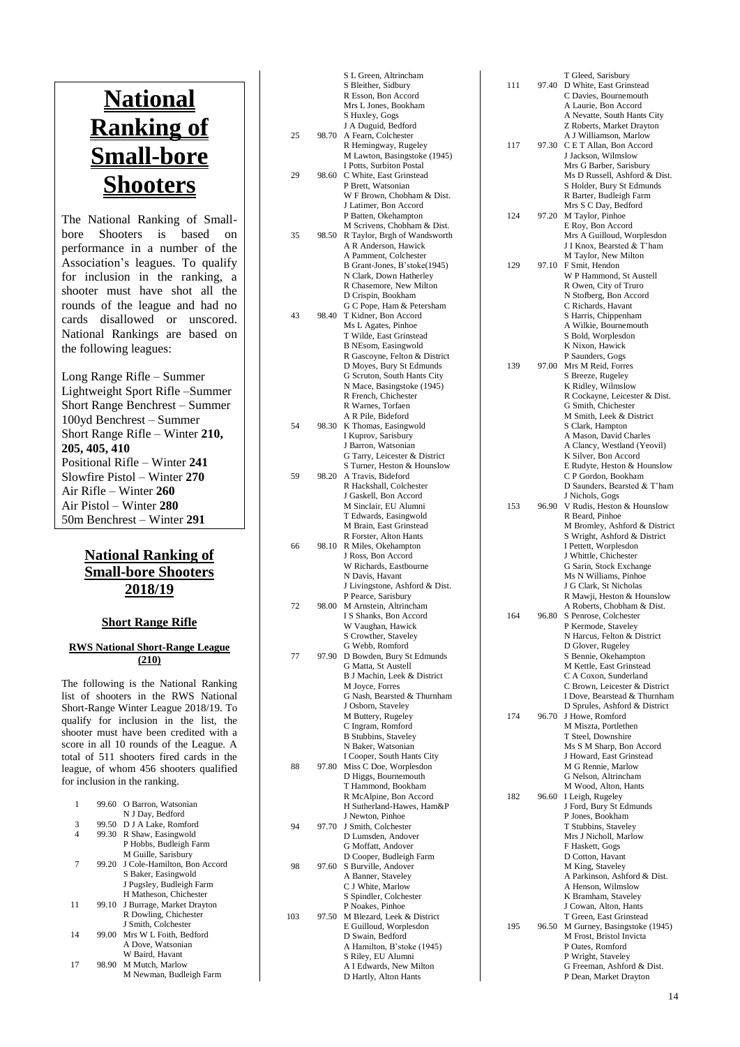# **National Ranking of Small -bore Shooters**

The National Ranking of Small bore Shooters is based on performance in a number of the Association's leagues. To qualify for inclusion in the ranking, a shooter must have shot all the rounds of the league and had no cards disallowed or unscored. National Rankings are based on the following leagues:

Long Range Rifle – Summer Lightweight Sport Rifle –Summer Short Range Benchrest – Summer 100yd Benchrest – Summer Short Range Rifle – Winter **210, 205, 405, 410** Positional Rifle – Winter **241** Slowfire Pistol – Winter **270** Air Rifle – Winter **260** Air Pistol – Winter **280**  50m Benchrest – Winter **291**

## **National Ranking of Small -bore Shooters 201 8/1 9**

## **Short Range Rifle**

#### **RWS National Short -Range League (210)**

The following is the National Ranking list of shooters in the RWS National Short -Range Winter League 201 8/1 9 . To qualify for inclusion in the list, the shooter must have been credited with a<br>score in all 10 rounds of the League. A total of 511 shooters fired cards in the league, of whom 456 shooters qualified for inclusion in the ranking.

|    | 99.60 | O Barron, Watsonian               |
|----|-------|-----------------------------------|
|    |       | N J Day, Bedford                  |
| 3  |       | 99.50 D J A Lake, Romford         |
| 4  |       | 99.30 R Shaw, Easingwold          |
|    |       | P Hobbs, Budleigh Farm            |
|    |       | M Guille, Sarisbury               |
|    |       | 99.20 J Cole-Hamilton, Bon Accord |
|    |       | S Baker, Easingwold               |
|    |       | J Pugsley, Budleigh Farm          |
|    |       | H Matheson, Chichester            |
| 11 |       | 99.10 J Burrage, Market Drayton   |
|    |       | R Dowling, Chichester             |
|    |       | J Smith, Colchester               |
| 14 | 99.00 | Mrs W L Foith, Bedford            |
|    |       | A Dove, Watsonian                 |
|    |       | W Baird, Havant                   |
| 17 |       | 98.90 M Mutch, Marlow             |
|    |       | M Newman, Budleigh Farm           |

|     |       | S L Green, Altrincham                                     |
|-----|-------|-----------------------------------------------------------|
|     |       | S Bleither, Sidbury<br>R Esson, Bon Accord                |
|     |       | Mrs L Jones, Bookham                                      |
|     |       | S Huxley, Gogs                                            |
|     |       | J A Duguid, Bedford                                       |
| 25  | 98.70 | A Fearn, Colchester                                       |
|     |       | R Hemingway, Rugeley<br>M Lawton, Basingstoke (1945)      |
|     |       | I Potts, Surbiton Postal                                  |
| 29  | 98.60 | C White, East Grinstead                                   |
|     |       | P Brett, Watsonian                                        |
|     |       | W F Brown, Chobham & Dist.                                |
|     |       | J Latimer, Bon Accord<br>P Batten, Okehampton             |
|     |       | M Scrivens, Chobham & Dist.                               |
| 35  | 98.50 | R Taylor, Brgh of Wandsworth                              |
|     |       | A R Anderson, Hawick                                      |
|     |       | A Pamment, Colchester                                     |
|     |       | B Grant-Jones, B'stoke(1945)<br>N Clark, Down Hatherley   |
|     |       | R Chasemore, New Milton                                   |
|     |       | D Crispin, Bookham                                        |
|     |       | G C Pope, Ham & Petersham                                 |
| 43  | 98.40 | T Kidner, Bon Accord<br>Ms L Agates, Pinhoe               |
|     |       | T Wilde, East Grinstead                                   |
|     |       | <b>B</b> NEsom, Easingwold                                |
|     |       | R Gascoyne, Felton & District                             |
|     |       | D Moyes, Bury St Edmunds                                  |
|     |       | G Scruton, South Hants City<br>N Mace, Basingstoke (1945) |
|     |       | R French, Chichester                                      |
|     |       | R Warnes, Torfaen                                         |
|     |       | A R Pile, Bideford                                        |
| 54  | 98.30 | K Thomas, Easingwold<br>I Kuprov, Sarisbury               |
|     |       | J Barron, Watsonian                                       |
|     |       | G Tarry, Leicester & District                             |
|     |       | S Turner, Heston & Hounslow                               |
| 59  | 98.20 | A Travis, Bideford                                        |
|     |       | R Hackshall, Colchester<br>J Gaskell, Bon Accord          |
|     |       | M Sinclair, EU Alumni                                     |
|     |       | T Edwards, Easingwold                                     |
|     |       | M Brain, East Grinstead                                   |
|     |       | R Forster, Alton Hants                                    |
| 66  | 98.10 | R Miles, Okehampton<br>J Ross, Bon Accord                 |
|     |       | W Richards, Eastbourne                                    |
|     |       | N Davis, Havant                                           |
|     |       | J Livingstone, Ashford & Dist.                            |
| 72  | 98.00 | P Pearce, Sarisbury<br>M Arnstein, Altrincham             |
|     |       | I S Shanks, Bon Accord                                    |
|     |       | W Vaughan, Hawick                                         |
|     |       | S Crowther, Staveley                                      |
| 77  | 97.90 | G Webb, Romford<br>D Bowden, Bury St Edmunds              |
|     |       | G Matta, St Austell                                       |
|     |       | B J Machin, Leek & District                               |
|     |       | M Joyce, Forres                                           |
|     |       | G Nash, Bearsted & Thurnham<br>J Osborn, Staveley         |
|     |       | M Buttery, Rugeley                                        |
|     |       | C Ingram, Romford                                         |
|     |       | <b>B Stubbins, Staveley</b>                               |
|     |       | N Baker, Watsonian<br>I Cooper, South Hants City          |
| 88  | 97.80 | Miss C Doe, Worplesdon                                    |
|     |       | D Higgs, Bournemouth                                      |
|     |       | T Hammond, Bookham                                        |
|     |       | R McAlpine, Bon Accord                                    |
|     |       | H Sutherland-Hawes, Ham&P<br>J Newton, Pinhoe             |
| 94  | 97.70 | J Smith, Colchester                                       |
|     |       | D Lumsden, Andover                                        |
|     |       | G Moffatt, Andover                                        |
| 98  | 97.60 | D Cooper, Budleigh Farm<br>S Burville, Andover            |
|     |       | A Banner, Staveley                                        |
|     |       | C J White, Marlow                                         |
|     |       | S Spindler, Colchester                                    |
| 103 | 97.50 | P Noakes, Pinhoe<br>M Blezard, Leek & District            |
|     |       | E Guilloud, Worplesdon                                    |
|     |       | D Swain, Bedford                                          |
|     |       | A Hamilton, B'stoke (1945)                                |
|     |       | S Riley, EU Alumni<br>A I Edwards, New Milton             |
|     |       | D Hartly, Alton Hants                                     |
|     |       |                                                           |

| 111 | 97.40 | T Gleed, Sarisbury<br>D White, East Grinstead<br>C Davies, Bournemouth           |
|-----|-------|----------------------------------------------------------------------------------|
|     |       | A Laurie, Bon Accord<br>A Nevatte, South Hants City<br>Z Roberts, Market Drayton |
| 117 | 97.30 | A J Williamson, Marlow<br>C E T Allan, Bon Accord                                |
|     |       | J Jackson, Wilmslow<br>Mrs G Barber, Sarisbury                                   |
|     |       | Ms D Russell, Ashford & Dist.<br>S Holder, Bury St Edmunds                       |
|     |       | R Barter, Budleigh Farm<br>Mrs S C Day, Bedford                                  |
| 124 | 97.20 | M Taylor, Pinhoe<br>E Roy, Bon Accord                                            |
|     |       | Mrs A Guilloud, Worplesdon                                                       |
|     |       | J I Knox, Bearsted & T'ham<br>M Taylor, New Milton                               |
| 129 | 97.10 | F Smit, Hendon<br>W P Hammond, St Austell                                        |
|     |       | R Owen, City of Truro<br>N Stofberg, Bon Accord                                  |
|     |       | C Richards, Havant<br>S Harris, Chippenham                                       |
|     |       | A Wilkie, Bournemouth                                                            |
|     |       | S Bold, Worplesdon<br>K Nixon, Hawick                                            |
| 139 | 97.00 | P Saunders, Gogs<br>Mrs M Reid, Forres                                           |
|     |       | S Breeze, Rugeley<br>K Ridley, Wilmslow                                          |
|     |       | R Cockayne, Leicester & Dist.<br>G Smith, Chichester                             |
|     |       | M Smith, Leek & District<br>S Clark, Hampton                                     |
|     |       | A Mason, David Charles                                                           |
|     |       | A Clancy, Westland (Yeovil)<br>K Silver, Bon Accord                              |
|     |       | E Rudyte, Heston & Hounslow<br>C P Gordon, Bookham                               |
|     |       | D Saunders, Bearsted & T'ham<br>J Nichols, Gogs                                  |
| 153 | 96.90 | V Rudis, Heston & Hounslow<br>R Beard, Pinhoe                                    |
|     |       | M Bromley, Ashford & District<br>S Wright, Ashford & District                    |
|     |       | I Pettett, Worplesdon<br>J Whittle, Chichester                                   |
|     |       | G Sarin, Stock Exchange                                                          |
|     |       | Ms N Williams, Pinhoe<br>J G Clark, St Nicholas                                  |
|     |       | R Mawji, Heston & Hounslow<br>A Roberts, Chobham & Dist.                         |
| 164 | 96.80 | S Penrose, Colchester<br>P Kermode, Staveley                                     |
|     |       | N Harcus, Felton & District<br>D Glover, Rugeley                                 |
|     |       | S Bennie, Okehampton<br>M Kettle, East Grinstead                                 |
|     |       | C A Coxon, Sunderland<br>C Brown, Leicester & District                           |
|     |       | I Dove, Bearstead & Thurnham                                                     |
| 174 | 96.70 | D Sprules, Ashford & District<br>J Howe, Romford                                 |
|     |       | M Miszta, Portlethen<br>T Steel, Downshire                                       |
|     |       | Ms S M Sharp, Bon Accord<br>J Howard, East Grinstead                             |
|     |       | M G Rennie, Marlow<br>G Nelson, Altrincham                                       |
| 182 | 96.60 | M Wood, Alton, Hants<br>I Leigh, Rugeley                                         |
|     |       | J Ford, Bury St Edmunds<br>P Jones, Bookham                                      |
|     |       | T Stubbins, Staveley                                                             |
|     |       | Mrs J Nicholl, Marlow<br>F Haskett, Gogs                                         |
|     |       | D Cotton, Havant<br>M King, Staveley                                             |
|     |       | A Parkinson, Ashford & Dist.<br>A Henson, Wilmslow                               |
|     |       | K Bramham, Staveley<br>J Cowan, Alton, Hants                                     |
| 195 | 96.50 | T Green, East Grinstead<br>M Gurney, Basingstoke (1945)                          |
|     |       | M Frost, Bristol Invicta<br>P Oates, Romford                                     |
|     |       | P Wright, Staveley                                                               |
|     |       | G Freeman, Ashford & Dist.<br>P Dean, Market Drayton                             |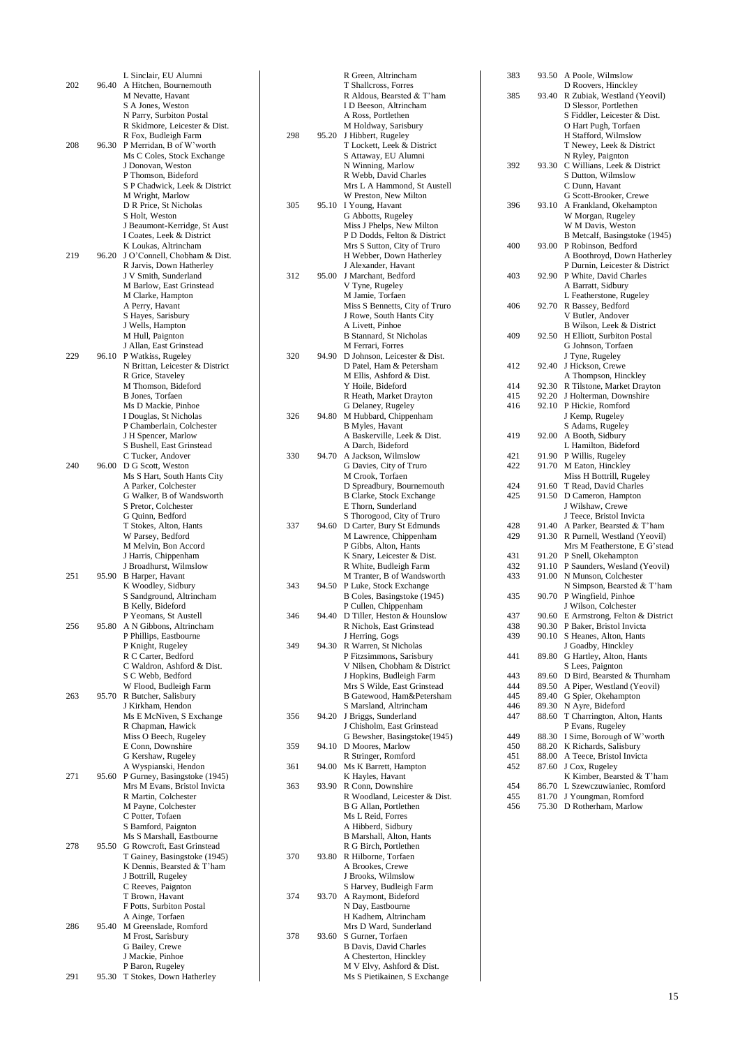| 202 |       | L Sinclair, EU Alumni<br>96.40 A Hitchen, Bournemouth      |     |
|-----|-------|------------------------------------------------------------|-----|
|     |       | M Nevatte, Havant<br>S A Jones, Weston                     |     |
|     |       | N Parry, Surbiton Postal<br>R Skidmore, Leicester & Dist.  |     |
| 208 |       | R Fox, Budleigh Farm<br>96.30 P Merridan, B of W'worth     | 298 |
|     |       | Ms C Coles, Stock Exchange                                 |     |
|     |       | J Donovan, Weston<br>P Thomson, Bideford                   |     |
|     |       | S P Chadwick, Leek & District<br>M Wright, Marlow          |     |
|     |       | D R Price, St Nicholas<br>S Holt, Weston                   | 305 |
|     |       | J Beaumont-Kerridge, St Aust                               |     |
|     |       | I Coates, Leek & District<br>K Loukas, Altrincham          |     |
| 219 | 96.20 | J O'Connell, Chobham & Dist.<br>R Jarvis, Down Hatherley   |     |
|     |       | J V Smith, Sunderland                                      | 312 |
|     |       | M Barlow, East Grinstead<br>M Clarke, Hampton              |     |
|     |       | A Perry, Havant<br>S Hayes, Sarisbury                      |     |
|     |       | J Wells, Hampton                                           |     |
|     |       | M Hull, Paignton<br>J Allan, East Grinstead                |     |
| 229 | 96.10 | P Watkiss, Rugeley<br>N Brittan, Leicester & District      | 320 |
|     |       | R Grice, Staveley                                          |     |
|     |       | M Thomson, Bideford<br>B Jones, Torfaen                    |     |
|     |       | Ms D Mackie, Pinhoe                                        |     |
|     |       | I Douglas, St Nicholas<br>P Chamberlain, Colchester        | 326 |
|     |       | J H Spencer, Marlow<br>S Bushell, East Grinstead           |     |
|     |       | C Tucker, Andover                                          | 330 |
| 240 | 96.00 | D G Scott, Weston<br>Ms S Hart, South Hants City           |     |
|     |       | A Parker, Colchester<br>G Walker, B of Wandsworth          |     |
|     |       | S Pretor, Colchester                                       |     |
|     |       | G Quinn, Bedford<br>T Stokes, Alton, Hants                 | 337 |
|     |       | W Parsey, Bedford                                          |     |
|     |       | M Melvin, Bon Accord<br>J Harris, Chippenham               |     |
| 251 | 95.90 | J Broadhurst, Wilmslow<br>B Harper, Havant                 |     |
|     |       | K Woodley, Sidbury                                         | 343 |
|     |       | S Sandground, Altrincham<br>B Kelly, Bideford              |     |
| 256 |       | P Yeomans, St Austell<br>95.80 A N Gibbons, Altrincham     | 346 |
|     |       | P Phillips, Eastbourne                                     |     |
|     |       | P Knight, Rugeley<br>R C Carter, Bedford                   | 349 |
|     |       | C Waldron, Ashford & Dist.<br>S C Webb, Bedford            |     |
|     |       | W Flood, Budleigh Farm                                     |     |
| 263 | 95.70 | R Butcher, Salisbury<br>J Kirkham, Hendon                  |     |
|     |       | Ms E McNiven, S Exchange<br>R Chapman, Hawick              | 356 |
|     |       | Miss O Beech, Rugeley                                      |     |
|     |       | E Conn, Downshire<br>G Kershaw, Rugeley                    | 359 |
| 271 | 95.60 | A Wyspianski, Hendon<br>P Gurney, Basingstoke (1945)       | 361 |
|     |       | Mrs M Evans, Bristol Invicta                               | 363 |
|     |       | R Martin, Colchester<br>M Payne, Colchester                |     |
|     |       | C Potter, Tofaen<br>S Bamford, Paignton                    |     |
|     |       | Ms S Marshall, Eastbourne                                  |     |
| 278 | 95.50 | G Rowcroft, East Grinstead<br>T Gainey, Basingstoke (1945) | 370 |
|     |       | K Dennis, Bearsted & T'ham                                 |     |
|     |       | J Bottrill, Rugeley<br>C Reeves, Paignton                  |     |
|     |       | T Brown, Havant<br>F Potts, Surbiton Postal                | 374 |
|     |       | A Ainge, Torfaen                                           |     |
| 286 | 95.40 | M Greenslade, Romford<br>M Frost, Sarisbury                | 378 |
|     |       | G Bailey, Crewe<br>J Mackie, Pinhoe                        |     |
|     |       | P Baron, Rugeley                                           |     |
| 291 | 95.30 | T Stokes, Down Hatherley                                   |     |

|     |       | R Green, Altrincham                                          |
|-----|-------|--------------------------------------------------------------|
|     |       | T Shallcross, Forres<br>R Aldous, Bearsted & T'ham           |
|     |       | I D Beeson, Altrincham<br>A Ross, Portlethen                 |
| 298 | 95.20 | M Holdway, Sarisbury<br>J Hibbert, Rugeley                   |
|     |       | T Lockett, Leek & District                                   |
|     |       | S Attaway, EU Alumni<br>N Winning, Marlow                    |
|     |       | R Webb, David Charles<br>Mrs L A Hammond, St Austell         |
|     |       | W Preston, New Milton                                        |
| 305 | 95.10 | I Young, Havant<br>G Abbotts, Rugeley                        |
|     |       | Miss J Phelps, New Milton<br>P D Dodds, Felton & District    |
|     |       | Mrs S Sutton, City of Truro                                  |
|     |       | H Webber, Down Hatherley<br>J Alexander, Havant              |
| 312 | 95.00 | J Marchant, Bedford<br>V Tyne, Rugeley                       |
|     |       | M Jamie, Torfaen<br>Miss S Bennetts, City of Truro           |
|     |       | J Rowe, South Hants City                                     |
|     |       | A Livett, Pinhoe<br><b>B Stannard, St Nicholas</b>           |
| 320 | 94.90 | M Ferrari, Forres<br>D Johnson, Leicester & Dist.            |
|     |       | D Patel, Ham & Petersham                                     |
|     |       | M Ellis, Ashford & Dist.<br>Y Hoile, Bideford                |
|     |       | R Heath, Market Drayton<br>G Delaney, Rugeley                |
| 326 | 94.80 | M Hubbard, Chippenham                                        |
|     |       | <b>B</b> Myles, Havant<br>A Baskerville, Leek & Dist.        |
| 330 | 94.70 | A Darch, Bideford<br>A Jackson, Wilmslow                     |
|     |       | G Davies, City of Truro<br>M Crook, Torfaen                  |
|     |       | D Spreadbury, Bournemouth<br><b>B Clarke, Stock Exchange</b> |
|     |       | E Thorn, Sunderland                                          |
| 337 | 94.60 | S Thorogood, City of Truro<br>D Carter, Bury St Edmunds      |
|     |       | M Lawrence, Chippenham<br>P Gibbs, Alton, Hants              |
|     |       | K Snary, Leicester & Dist.<br>R White, Budleigh Farm         |
|     |       | M Tranter, B of Wandsworth                                   |
| 343 | 94.50 | P Luke, Stock Exchange<br>B Coles, Basingstoke (1945)        |
| 346 | 94.40 | P Cullen, Chippenham<br>D Tiller, Heston & Hounslow          |
|     |       | R Nichols, East Grinstead<br>J Herring, Gogs                 |
| 349 | 94.30 | R Warren, St Nicholas                                        |
|     |       | P Fitzsimmons, Sarisbury<br>V Nilsen, Chobham & District     |
|     |       | J Hopkins, Budleigh Farm<br>Mrs S Wilde, East Grinstead      |
|     |       | B Gatewood, Ham&Petersham<br>S Marsland, Altrincham          |
| 356 | 94.20 | J Briggs, Sunderland                                         |
|     |       | J Chisholm, East Grinstead<br>G Bewsher, Basingstoke(1945)   |
| 359 | 94.10 | D Moores, Marlow<br>R Stringer, Romford                      |
| 361 | 94.00 | Ms K Barrett, Hampton<br>K Hayles, Havant                    |
| 363 | 93.90 | R Conn, Downshire                                            |
|     |       | R Woodland, Leicester & Dist.<br>B G Allan, Portlethen       |
|     |       | Ms L Reid, Forres<br>A Hibberd, Sidbury                      |
|     |       | B Marshall, Alton, Hants<br>R G Birch, Portlethen            |
| 370 | 93.80 | R Hilborne, Torfaen<br>A Brookes, Crewe                      |
|     |       | J Brooks, Wilmslow                                           |
| 374 | 93.70 | S Harvey, Budleigh Farm<br>A Raymont, Bideford               |
|     |       | N Day, Eastbourne<br>H Kadhem, Altrincham                    |
| 378 | 93.60 | Mrs D Ward, Sunderland<br>S Gurner, Torfaen                  |
|     |       | <b>B</b> Davis, David Charles                                |
|     |       | A Chesterton, Hinckley<br>M V Elvy, Ashford & Dist.          |
|     |       | Ms S Pietikainen, S Exchange                                 |

| 383        | 93.50          | A Poole, Wilmslow                                      |
|------------|----------------|--------------------------------------------------------|
| 385        | 93.40          | D Roovers, Hinckley                                    |
|            |                | R Zubiak, Westland (Yeovil)<br>D Slessor, Portlethen   |
|            |                | S Fiddler, Leicester & Dist.                           |
|            |                | O Hart Pugh, Torfaen                                   |
|            |                | H Stafford, Wilmslow                                   |
|            |                | T Newey, Leek & District                               |
|            |                | N Ryley, Paignton                                      |
| 392        | 93.30          | C Willians, Leek & District                            |
|            |                | S Dutton, Wilmslow<br>C Dunn, Havant                   |
|            |                | G Scott-Brooker, Crewe                                 |
| 396        | 93.10          | A Frankland, Okehampton                                |
|            |                | W Morgan, Rugeley                                      |
|            |                | W M Davis, Weston                                      |
|            | 93.00          | B Metcalf, Basingstoke (1945)                          |
| 400        |                | P Robinson, Bedford<br>A Boothroyd, Down Hatherley     |
|            |                | P Durnin, Leicester & District                         |
| 403        | 92.90          | P White, David Charles                                 |
|            |                | A Barratt, Sidbury                                     |
|            |                | L Featherstone, Rugeley                                |
| 406        | 92.70          | R Bassey, Bedford                                      |
|            |                | V Butler, Andover<br>B Wilson, Leek & District         |
| 409        | 92.50          | H Elliott, Surbiton Postal                             |
|            |                | G Johnson, Torfaen                                     |
|            |                | J Tyne, Rugeley                                        |
| 412        | 92.40          | J Hickson, Crewe                                       |
|            |                | A Thompson, Hinckley                                   |
| 414<br>415 | 92.30<br>92.20 | R Tilstone, Market Drayton<br>J Holterman, Downshire   |
| 416        | 92.10          | P Hickie, Romford                                      |
|            |                | J Kemp, Rugeley                                        |
|            |                | S Adams, Rugeley                                       |
| 419        | 92.00          | A Booth, Sidbury                                       |
|            |                | L Hamilton, Bideford                                   |
| 421<br>422 | 91.90<br>91.70 | P Willis, Rugeley<br>M Eaton, Hinckley                 |
|            |                | Miss H Bottrill, Rugeley                               |
| 424        | 91.60          | T Read, David Charles                                  |
| 425        | 91.50          | D Cameron, Hampton                                     |
|            |                | J Wilshaw, Crewe                                       |
| 428        | 91.40          | J Teece, Bristol Invicta<br>A Parker, Bearsted & T'ham |
| 429        | 91.30          | R Purnell, Westland (Yeovil)                           |
|            |                | Mrs M Featherstone, E G'stead                          |
| 431        | 91.20          | P Snell, Okehampton                                    |
| 432        | 91.10          | P Saunders, Wesland (Yeovil)                           |
| 433        | 91.00          | N Munson, Colchester                                   |
| 435        | 90.70          | N Simpson, Bearsted & T'ham<br>P Wingfield, Pinhoe     |
|            |                | J Wilson, Colchester                                   |
| 437        | 90.60          | E Armstrong, Felton & District                         |
| 438        | 90.30          | P Baker, Bristol Invicta                               |
| 439        | 90.10          | S Heanes, Alton, Hants                                 |
|            |                | J Goadby, Hinckley                                     |
| 441        | 89.80          | G Hartley, Alton, Hants<br>S Lees, Paignton            |
| 443        | 89.60          | D Bird, Bearsted & Thurnham                            |
| 444        | 89.50          | A Piper, Westland (Yeovil)                             |
| 445        | 89.40          | G Spier, Okehampton                                    |
| 446        | 89.30          | N Ayre, Bideford                                       |
| 447        | 88.60          | T Charrington, Alton, Hants                            |
| 449        | 88.30          | P Evans, Rugeley<br>I Sime, Borough of W'worth         |
| 450        | 88.20          | K Richards, Salisbury                                  |
| 451        | 88.00          | A Teece, Bristol Invicta                               |
| 452        | 87.60          | J Cox, Rugeley                                         |
|            |                | K Kimber, Bearsted & T'ham                             |
| 454        | 86.70          | L Szewczuwianiec, Romford                              |
| 455<br>456 | 81.70<br>75.30 | J Youngman, Romford<br>D Rotherham, Marlow             |
|            |                |                                                        |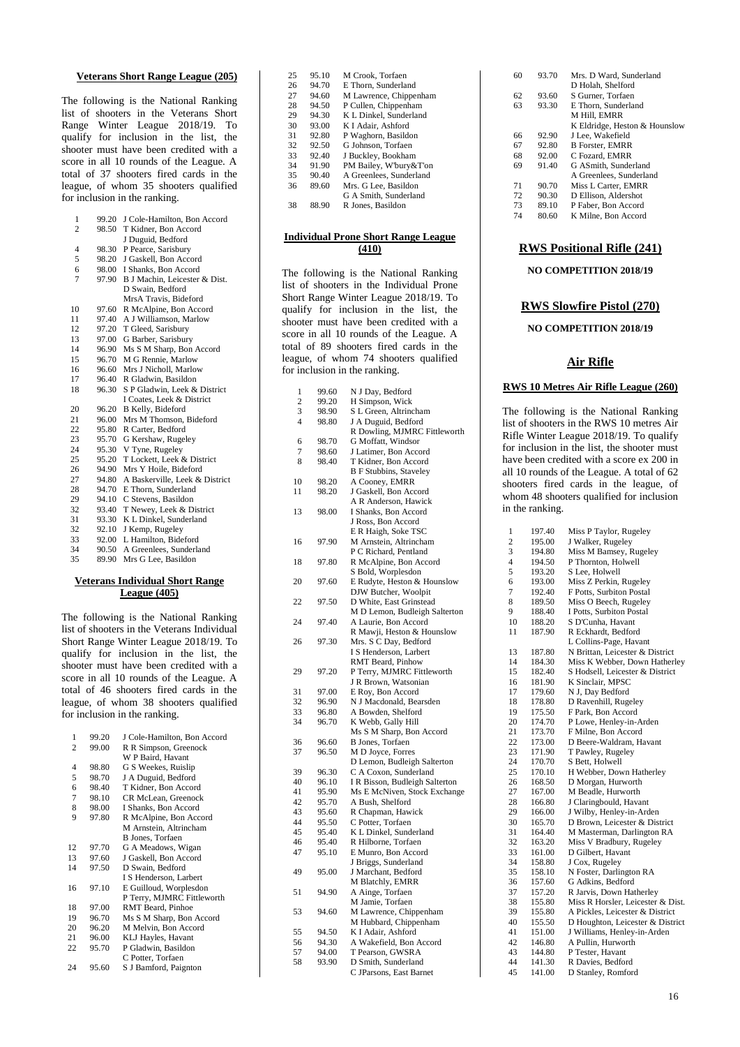### **Veterans Short Range League (205)**

The following is the National Ranking list of shooters in the Veterans Short Range Winter League 2018/19. To qualify for inclusion in the list, the shooter must have been credited with a score in all 10 rounds of the League. A total of 37 shooters fired cards in the league, of whom 35 shooters qualified for inclusion in the ranking.

| 1              | 99.20 | J Cole-Hamilton, Bon Accord    |
|----------------|-------|--------------------------------|
| $\overline{2}$ | 98.50 | T Kidner, Bon Accord           |
|                |       | J Duguid, Bedford              |
| 4              | 98.30 | P Pearce, Sarisbury            |
| 5              | 98.20 | J Gaskell, Bon Accord          |
| 6              | 98.00 | I Shanks, Bon Accord           |
| 7              | 97.90 | B J Machin, Leicester & Dist.  |
|                |       | D Swain, Bedford               |
|                |       | MrsA Travis, Bideford          |
| 10             | 97.60 | R McAlpine, Bon Accord         |
| 11             | 97.40 | A J Williamson, Marlow         |
| 12             | 97.20 | T Gleed, Sarisbury             |
| 13             | 97.00 | G Barber, Sarisbury            |
| 14             | 96.90 | Ms S M Sharp, Bon Accord       |
| 15             | 96.70 | M G Rennie, Marlow             |
| 16             | 96.60 | Mrs J Nicholl, Marlow          |
| 17             | 96.40 | R Gladwin, Basildon            |
| 18             | 96.30 | S P Gladwin, Leek & District   |
|                |       | I Coates, Leek & District      |
| 20             | 96.20 | <b>B</b> Kelly, Bideford       |
| 21             | 96.00 | Mrs M Thomson, Bideford        |
| 22             | 95.80 | R Carter, Bedford              |
| 23             | 95.70 | G Kershaw, Rugeley             |
| 24             | 95.30 | V Tyne, Rugeley                |
| 25             | 95.20 | T Lockett, Leek & District     |
| 26             | 94.90 | Mrs Y Hoile, Bideford          |
| 27             | 94.80 | A Baskerville, Leek & District |
| 28             | 94.70 | E Thorn, Sunderland            |
| 29             | 94.10 | C Stevens, Basildon            |
| 32             | 93.40 | T Newey, Leek & District       |
| 31             | 93.30 | K L Dinkel, Sunderland         |
| 32             | 92.10 | J Kemp, Rugeley                |
| 33             | 92.00 | L Hamilton, Bideford           |
| 34             | 90.50 | A Greenlees, Sunderland        |
| 35             | 89.90 | Mrs G Lee, Basildon            |
|                |       |                                |

#### **Veterans Individual Short Range League (405)**

The following is the National Ranking list of shooters in the Veterans Individual Short Range Winter League 2018/19. To qualify for inclusion in the list, the shooter must have been credited with a score in all 10 rounds of the League. A total of 46 shooters fired cards in the league, of whom 38 shooters qualified for inclusion in the ranking.

| 1  | 99.20 | J Cole-Hamilton, Bon Accord |
|----|-------|-----------------------------|
| 2  | 99.00 | R R Simpson, Greenock       |
|    |       | W P Baird, Havant           |
| 4  | 98.80 | G S Weekes, Ruislip         |
| 5  | 98.70 | J A Duguid, Bedford         |
| 6  | 98.40 | T Kidner, Bon Accord        |
| 7  | 98.10 | CR McLean, Greenock         |
| 8  | 98.00 | I Shanks, Bon Accord        |
| 9  | 97.80 | R McAlpine, Bon Accord      |
|    |       | M Arnstein, Altrincham      |
|    |       | <b>B</b> Jones, Torfaen     |
| 12 | 97.70 | G A Meadows, Wigan          |
| 13 | 97.60 | J Gaskell, Bon Accord       |
| 14 | 97.50 | D Swain, Bedford            |
|    |       | I S Henderson, Larbert      |
| 16 | 97.10 | E Guilloud, Worplesdon      |
|    |       | P Terry, MJMRC Fittleworth  |
| 18 | 97.00 | RMT Beard, Pinhoe           |
| 19 | 96.70 | Ms S M Sharp, Bon Accord    |
| 20 | 96.20 | M Melvin, Bon Accord        |
| 21 | 96.00 | KLJ Hayles, Havant          |
| 22 | 95.70 | P Gladwin, Basildon         |
|    |       | C Potter, Torfaen           |
| 24 | 95.60 | S J Bamford, Paignton       |

| 25 | 95.10 | M Crook, Torfaen        |
|----|-------|-------------------------|
| 26 | 94.70 | E Thorn, Sunderland     |
| 27 | 94.60 | M Lawrence, Chippenham  |
| 28 | 94.50 | P Cullen, Chippenham    |
| 29 | 94.30 | K L Dinkel, Sunderland  |
| 30 | 93.00 | K I Adair, Ashford      |
| 31 | 92.80 | P Waghorn, Basildon     |
| 32 | 92.50 | G Johnson, Torfaen      |
| 33 | 92.40 | J Buckley, Bookham      |
| 34 | 91.90 | PM Bailey, W'bury&T'on  |
| 35 | 90.40 | A Greenlees, Sunderland |
| 36 | 89.60 | Mrs. G Lee, Basildon    |
|    |       | G A Smith, Sunderland   |
| 38 | 88.90 | R Jones, Basildon       |

#### **Individual Prone Short Range League (410)**

The following is the National Ranking list of shooters in the Individual Prone Short Range Winter League 2018/19. To qualify for inclusion in the list, the shooter must have been credited with a score in all 10 rounds of the League. A total of 89 shooters fired cards in the league, of whom 74 shooters qualified for inclusion in the ranking.

| 1              | 99.60 | N J Day, Bedford               |
|----------------|-------|--------------------------------|
| $\overline{c}$ | 99.20 | H Simpson, Wick                |
| 3              | 98.90 | S L Green, Altrincham          |
| $\overline{4}$ | 98.80 | J A Duguid, Bedford            |
|                |       | R Dowling, MJMRC Fittleworth   |
| 6              | 98.70 | G Moffatt, Windsor             |
| 7              | 98.60 | J Latimer, Bon Accord          |
| 8              | 98.40 | T Kidner, Bon Accord           |
|                |       | <b>B</b> F Stubbins, Staveley  |
| 10             | 98.20 | A Cooney, EMRR                 |
| 11             | 98.20 | J Gaskell, Bon Accord          |
|                |       | A R Anderson, Hawick           |
| 13             | 98.00 | I Shanks, Bon Accord           |
|                |       | J Ross, Bon Accord             |
|                |       | E R Haigh, Soke TSC            |
| 16             | 97.90 | M Arnstein, Altrincham         |
|                |       | P C Richard, Pentland          |
| 18             | 97.80 | R McAlpine, Bon Accord         |
|                |       | S Bold, Worplesdon             |
| 20             | 97.60 | E Rudyte, Heston & Hounslow    |
|                |       | DJW Butcher, Woolpit           |
| 22             | 97.50 | D White, East Grinstead        |
|                |       |                                |
| 24             | 97.40 | M D Lemon, Budleigh Salterton  |
|                |       | A Laurie, Bon Accord           |
| 26             |       | R Mawji, Heston & Hounslow     |
|                | 97.30 | Mrs. S C Day, Bedford          |
|                |       | I S Henderson, Larbert         |
|                |       | RMT Beard, Pinhow              |
| 29             | 97.20 | P Terry, MJMRC Fittleworth     |
|                |       | J R Brown, Watsonian           |
| 31             | 97.00 | E Roy, Bon Accord              |
| 32             | 96.90 | N J Macdonald, Bearsden        |
| 33             | 96.80 | A Bowden, Shelford             |
| 34             | 96.70 | K Webb, Gally Hill             |
|                |       | Ms S M Sharp, Bon Accord       |
| 36             | 96.60 | B Jones, Torfaen               |
| 37             | 96.50 | M D Joyce, Forres              |
|                |       | D Lemon, Budleigh Salterton    |
| 39             | 96.30 | C A Coxon, Sunderland          |
| 40             | 96.10 | I R Bisson, Budleigh Salterton |
| 41             | 95.90 | Ms E McNiven, Stock Exchange   |
| 42             | 95.70 | A Bush, Shelford               |
| 43             | 95.60 | R Chapman, Hawick              |
| 44             | 95.50 | C Potter, Torfaen              |
| 45             | 95.40 | K L Dinkel, Sunderland         |
| 46             | 95.40 | R Hilborne, Torfaen            |
| 47             | 95.10 | E Munro, Bon Accord            |
|                |       | J Briggs, Sunderland           |
| 49             | 95.00 | J Marchant, Bedford            |
|                |       | M Blatchly, EMRR               |
| 51             | 94.90 | A Ainge, Torfaen               |
|                |       | M Jamie, Torfaen               |
| 53             | 94.60 | M Lawrence, Chippenham         |
|                |       | M Hubbard, Chippenham          |
| 55             | 94.50 | K I Adair, Ashford             |
| 56             | 94.30 | A Wakefield, Bon Accord        |
| 57             | 94.00 | T Pearson, GWSRA               |
| 58             | 93.90 | D Smith, Sunderland            |
|                |       | C JParsons, East Barnet        |

| 60 | 93.70 | Mrs. D Ward, Sunderland       |
|----|-------|-------------------------------|
|    |       | D Holah, Shelford             |
| 62 | 93.60 | S Gurner, Torfaen             |
| 63 | 93.30 | E Thorn, Sunderland           |
|    |       | M Hill. EMRR                  |
|    |       | K Eldridge, Heston & Hounslow |
| 66 | 92.90 | J Lee. Wakefield              |
| 67 | 92.80 | <b>B</b> Forster, EMRR        |
| 68 | 92.00 | C Fozard, EMRR                |
| 69 | 91.40 | G ASmith, Sunderland          |
|    |       | A Greenlees, Sunderland       |
| 71 | 90.70 | Miss L Carter, EMRR           |
| 72 | 90.30 | D Ellison, Aldershot          |
| 73 | 89.10 | P Faber, Bon Accord           |
| 74 | 80.60 | K Milne, Bon Accord           |
|    |       |                               |

#### **RWS Positional Rifle (241)**

**NO COMPETITION 2018/19**

## **RWS Slowfire Pistol (270)**

**NO COMPETITION 2018/19**

## **Air Rifle**

## **RWS 10 Metres Air Rifle League (260)**

The following is the National Ranking list of shooters in the RWS 10 metres Air Rifle Winter League 2018/19. To qualify for inclusion in the list, the shooter must have been credited with a score ex 200 in all 10 rounds of the League. A total of 62 shooters fired cards in the league, of whom 48 shooters qualified for inclusion in the ranking.

| 1              | 197.40 | Miss P Taylor, Rugeley            |
|----------------|--------|-----------------------------------|
| $\overline{c}$ | 195.00 | J Walker, Rugeley                 |
| 3              | 194.80 | Miss M Bamsey, Rugeley            |
| $\overline{4}$ | 194.50 | P Thornton, Holwell               |
| 5              | 193.20 | S Lee, Holwell                    |
| 6              | 193.00 | Miss Z Perkin, Rugeley            |
| 7              | 192.40 | F Potts, Surbiton Postal          |
| 8              | 189.50 | Miss O Beech, Rugeley             |
| 9              | 188.40 | I Potts, Surbiton Postal          |
| 10             | 188.20 | S D'Cunha, Havant                 |
| 11             | 187.90 | R Eckhardt, Bedford               |
|                |        | L Collins-Page, Havant            |
| 13             | 187.80 | N Brittan, Leicester & District   |
| 14             | 184.30 | Miss K Webber, Down Hatherley     |
| 15             | 182.40 | S Hodsell, Leicester & District   |
| 16             | 181.90 | K Sinclair, MPSC                  |
| 17             | 179.60 | N J, Day Bedford                  |
| 18             | 178.80 | D Ravenhill, Rugeley              |
| 19             | 175.50 | F Park, Bon Accord                |
| 20             | 174.70 | P Lowe, Henley-in-Arden           |
| 21             | 173.70 | F Milne, Bon Accord               |
| 22             | 173.00 | D Beere-Waldram, Havant           |
| 23             | 171.90 | T Pawley, Rugeley                 |
| 24             | 170.70 | S Bett, Holwell                   |
| 25             | 170.10 | H Webber, Down Hatherley          |
| 26             | 168.50 | D Morgan, Hurworth                |
| 27             | 167.00 | M Beadle, Hurworth                |
| 28             | 166.80 | J Claringbould, Havant            |
| 29             | 166.00 | J Wilby, Henley-in-Arden          |
| 30             | 165.70 | D Brown, Leicester & District     |
| 31             | 164.40 | M Masterman, Darlington RA        |
| 32             | 163.20 | Miss V Bradbury, Rugeley          |
| 33             | 161.00 | D Gilbert, Havant                 |
| 34             | 158.80 | J Cox, Rugeley                    |
| 35             | 158.10 | N Foster, Darlington RA           |
| 36             | 157.60 | G Adkins, Bedford                 |
| 37             | 157.20 | R Jarvis, Down Hatherley          |
| 38             | 155.80 | Miss R Horsler, Leicester & Dist. |
| 39             | 155.80 | A Pickles, Leicester & District   |
| 40             | 155.50 | D Houghton, Leicester & District  |
| 41             | 151.00 | J Williams, Henley-in-Arden       |
| 42             | 146.80 | A Pullin, Hurworth                |
| 43             | 144.80 | P Tester, Havant                  |
| 44             | 141.30 | R Davies, Bedford                 |
| 45             | 141.00 | D Stanley, Romford                |
|                |        |                                   |